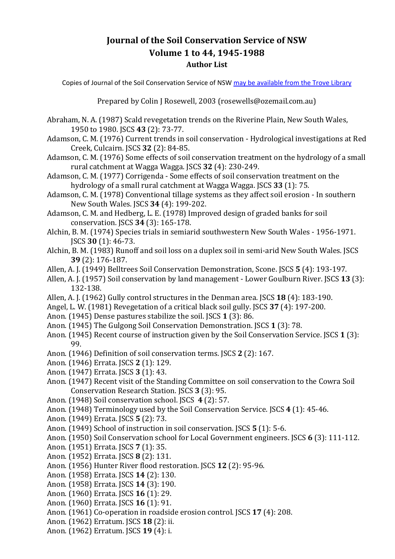## **Journal of the Soil Conservation Service of NSW Volume 1 to 44, 1945-1988 Author List**

Copies of Journal of the Soil Conservation Service of NSW [may be available from the Trove Library](https://trove.nla.gov.au/search?keyword=Journal%20of%20the%20Soil%20Conservation%20Service%20of%20NSW)

Prepared by Colin J Rosewell, 2003 (rosewells@ozemail.com.au)

- Abraham, N. A. (1987) Scald revegetation trends on the Riverine Plain, New South Wales, 1950 to 1980. JSCS **43** (2): 73-77.
- Adamson, C. M. (1976) Current trends in soil conservation Hydrological investigations at Red Creek, Culcairn. JSCS **32** (2): 84-85.
- Adamson, C. M. (1976) Some effects of soil conservation treatment on the hydrology of a small rural catchment at Wagga Wagga. JSCS **32** (4): 230-249.
- Adamson, C. M. (1977) Corrigenda Some effects of soil conservation treatment on the hydrology of a small rural catchment at Wagga Wagga. JSCS **33** (1): 75.
- Adamson, C. M. (1978) Conventional tillage systems as they affect soil erosion In southern New South Wales. JSCS **34** (4): 199-202.
- Adamson, C. M. and Hedberg, L. E. (1978) Improved design of graded banks for soil conservation. JSCS **34** (3): 165-178.
- Alchin, B. M. (1974) Species trials in semiarid southwestern New South Wales 1956-1971. JSCS **30** (1): 46-73.
- Alchin, B. M. (1983) Runoff and soil loss on a duplex soil in semi-arid New South Wales. JSCS **39** (2): 176-187.
- Allen, A. J. (1949) Belltrees Soil Conservation Demonstration, Scone. JSCS **5** (4): 193-197.
- Allen, A. J. (1957) Soil conservation by land management Lower Goulburn River. JSCS **13** (3): 132-138.
- Allen, A. J. (1962) Gully control structures in the Denman area. JSCS **18** (4): 183-190.
- Angel, L. W. (1981) Revegetation of a critical black soil gully. JSCS **37** (4): 197-200.
- Anon. (1945) Dense pastures stabilize the soil. JSCS **1** (3): 86.
- Anon. (1945) The Gulgong Soil Conservation Demonstration. JSCS **1** (3): 78.
- Anon. (1945) Recent course of instruction given by the Soil Conservation Service. JSCS **1** (3): 99.
- Anon. (1946) Definition of soil conservation terms. JSCS **2** (2): 167.
- Anon. (1946) Errata. JSCS **2** (1): 129.
- Anon. (1947) Errata. JSCS **3** (1): 43.
- Anon. (1947) Recent visit of the Standing Committee on soil conservation to the Cowra Soil Conservation Research Station. JSCS **3** (3): 95.
- Anon. (1948) Soil conservation school. JSCS **4** (2): 57.
- Anon. (1948) Terminology used by the Soil Conservation Service. JSCS **4** (1): 45-46.
- Anon. (1949) Errata. JSCS **5** (2): 73.
- Anon. (1949) School of instruction in soil conservation. JSCS **5** (1): 5-6.
- Anon. (1950) Soil Conservation school for Local Government engineers. JSCS **6** (3): 111-112.
- Anon. (1951) Errata. JSCS **7** (1): 35.
- Anon. (1952) Errata. JSCS **8** (2): 131.
- Anon. (1956) Hunter River flood restoration. JSCS **12** (2): 95-96.
- Anon. (1958) Errata. JSCS **14** (2): 130.
- Anon. (1958) Errata. JSCS **14** (3): 190.
- Anon. (1960) Errata. JSCS **16** (1): 29.
- Anon. (1960) Errata. JSCS **16** (1): 91.
- Anon. (1961) Co-operation in roadside erosion control. JSCS **17** (4): 208.
- Anon. (1962) Erratum. JSCS **18** (2): ii.
- Anon. (1962) Erratum. JSCS **19** (4): i.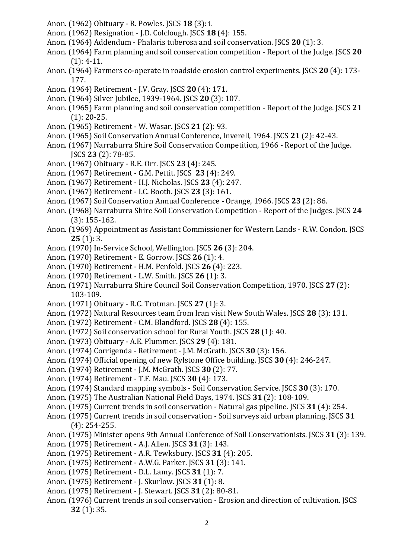- Anon. (1962) Obituary R. Powles. JSCS **18** (3): i.
- Anon. (1962) Resignation J.D. Colclough. JSCS **18** (4): 155.
- Anon. (1964) Addendum Phalaris tuberosa and soil conservation. JSCS **20** (1): 3.
- Anon. (1964) Farm planning and soil conservation competition Report of the Judge. JSCS **20**  (1): 4-11.
- Anon. (1964) Farmers co-operate in roadside erosion control experiments. JSCS **20** (4): 173- 177.
- Anon. (1964) Retirement J.V. Gray. JSCS **20** (4): 171.
- Anon. (1964) Silver Jubilee, 1939-1964. JSCS **20** (3): 107.
- Anon. (1965) Farm planning and soil conservation competition Report of the Judge. JSCS **21**  (1): 20-25.
- Anon. (1965) Retirement W. Wasar. JSCS **21** (2): 93.
- Anon. (1965) Soil Conservation Annual Conference, Inverell, 1964. JSCS **21** (2): 42-43.
- Anon. (1967) Narraburra Shire Soil Conservation Competition, 1966 Report of the Judge. JSCS **23** (2): 78-85.
- Anon. (1967) Obituary R.E. Orr. JSCS **23** (4): 245.
- Anon. (1967) Retirement G.M. Pettit. JSCS **23** (4): 249.
- Anon. (1967) Retirement H.J. Nicholas. JSCS **23** (4): 247.
- Anon. (1967) Retirement I.C. Booth. JSCS **23** (3): 161.
- Anon. (1967) Soil Conservation Annual Conference Orange, 1966. JSCS **23** (2): 86.
- Anon. (1968) Narraburra Shire Soil Conservation Competition Report of the Judges. JSCS **24**  (3): 155-162.
- Anon. (1969) Appointment as Assistant Commissioner for Western Lands R.W. Condon. JSCS **25** (1): 3.
- Anon. (1970) In-Service School, Wellington. JSCS **26** (3): 204.
- Anon. (1970) Retirement E. Gorrow. JSCS **26** (1): 4.
- Anon. (1970) Retirement H.M. Penfold. JSCS **26** (4): 223.
- Anon. (1970) Retirement L.W. Smith. JSCS **26** (1): 3.
- Anon. (1971) Narraburra Shire Council Soil Conservation Competition, 1970. JSCS **27** (2): 103-109.
- Anon. (1971) Obituary R.C. Trotman. JSCS **27** (1): 3.
- Anon. (1972) Natural Resources team from Iran visit New South Wales. JSCS **28** (3): 131.
- Anon. (1972) Retirement C.M. Blandford. JSCS **28** (4): 155.
- Anon. (1972) Soil conservation school for Rural Youth. JSCS **28** (1): 40.
- Anon. (1973) Obituary A.E. Plummer. JSCS **29** (4): 181.
- Anon. (1974) Corrigenda Retirement J.M. McGrath. JSCS **30** (3): 156.
- Anon. (1974) Official opening of new Rylstone Office building. JSCS **30** (4): 246-247.
- Anon. (1974) Retirement J.M. McGrath. JSCS **30** (2): 77.
- Anon. (1974) Retirement T.F. Mau. JSCS **30** (4): 173.
- Anon. (1974) Standard mapping symbols Soil Conservation Service. JSCS **30** (3): 170.
- Anon. (1975) The Australian National Field Days, 1974. JSCS **31** (2): 108-109.
- Anon. (1975) Current trends in soil conservation Natural gas pipeline. JSCS **31** (4): 254.
- Anon. (1975) Current trends in soil conservation Soil surveys aid urban planning. JSCS **31**  (4): 254-255.
- Anon. (1975) Minister opens 9th Annual Conference of Soil Conservationists. JSCS **31** (3): 139.
- Anon. (1975) Retirement A.J. Allen. JSCS **31** (3): 143.
- Anon. (1975) Retirement A.R. Tewksbury. JSCS **31** (4): 205.
- Anon. (1975) Retirement A.W.G. Parker. JSCS **31** (3): 141.
- Anon. (1975) Retirement D.L. Lamy. JSCS **31** (1): 7.
- Anon. (1975) Retirement J. Skurlow. JSCS **31** (1): 8.
- Anon. (1975) Retirement J. Stewart. JSCS **31** (2): 80-81.
- Anon. (1976) Current trends in soil conservation Erosion and direction of cultivation. JSCS **32** (1): 35.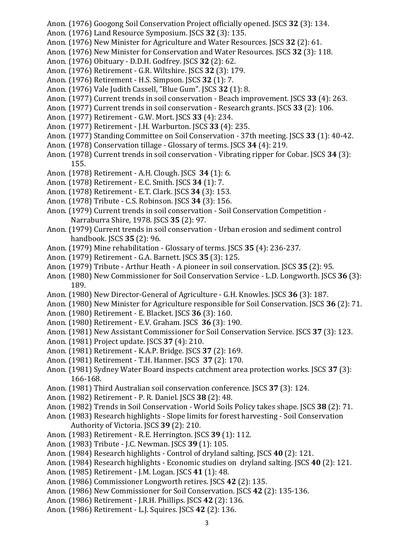- Anon. (1976) Googong Soil Conservation Project officially opened. JSCS **32** (3): 134.
- Anon. (1976) Land Resource Symposium. JSCS **32** (3): 135.
- Anon. (1976) New Minister for Agriculture and Water Resources. JSCS **32** (2): 61.
- Anon. (1976) New Minister for Conservation and Water Resources. JSCS **32** (3): 118.
- Anon. (1976) Obituary D.D.H. Godfrey. JSCS **32** (2): 62.
- Anon. (1976) Retirement G.R. Wiltshire. JSCS **32** (3): 179.
- Anon. (1976) Retirement H.S. Simpson. JSCS **32** (1): 7.
- Anon. (1976) Vale Judith Cassell, "Blue Gum". JSCS **32** (1): 8.
- Anon. (1977) Current trends in soil conservation Beach improvement. JSCS **33** (4): 263.
- Anon. (1977) Current trends in soil conservation Research grants. JSCS **33** (2): 106.
- Anon. (1977) Retirement G.W. Mort. JSCS **33** (4): 234.
- Anon. (1977) Retirement J.H. Warburton. JSCS **33** (4): 235.
- Anon. (1977) Standing Committee on Soil Conservation 37th meeting. JSCS **33** (1): 40-42.
- Anon. (1978) Conservation tillage Glossary of terms. JSCS **34** (4): 219.
- Anon. (1978) Current trends in soil conservation Vibrating ripper for Cobar. JSCS **34** (3): 155.
- Anon. (1978) Retirement A.H. Clough. JSCS **34** (1): 6.
- Anon. (1978) Retirement E.C. Smith. JSCS **34** (1): 7.
- Anon. (1978) Retirement E.T. Clark. JSCS **34** (3): 153.
- Anon. (1978) Tribute C.S. Robinson. JSCS **34** (3): 156.
- Anon. (1979) Current trends in soil conservation Soil Conservation Competition Narraburra Shire, 1978. JSCS **35** (2): 97.
- Anon. (1979) Current trends in soil conservation Urban erosion and sediment control handbook. JSCS **35** (2): 96.
- Anon. (1979) Mine rehabilitation Glossary of terms. JSCS **35** (4): 236-237.
- Anon. (1979) Retirement G.A. Barnett. JSCS **35** (3): 125.
- Anon. (1979) Tribute Arthur Heath A pioneer in soil conservation. JSCS **35** (2): 95.
- Anon. (1980) New Commissioner for Soil Conservation Service L.D. Longworth. JSCS **36** (3): 189.
- Anon. (1980) New Director-General of Agriculture G.H. Knowles. JSCS **36** (3): 187.
- Anon. (1980) New Minister for Agriculture responsible for Soil Conservation. JSCS **36** (2): 71.
- Anon. (1980) Retirement E. Blacket. JSCS **36** (3): 160.
- Anon. (1980) Retirement E.V. Graham. JSCS **36** (3): 190.
- Anon. (1981) New Assistant Commissioner for Soil Conservation Service. JSCS **37** (3): 123.
- Anon. (1981) Project update. JSCS **37** (4): 210.
- Anon. (1981) Retirement K.A.P. Bridge. JSCS **37** (2): 169.
- Anon. (1981) Retirement T.H. Hanmer. JSCS **37** (2): 170.
- Anon. (1981) Sydney Water Board inspects catchment area protection works. JSCS **37** (3): 166-168.
- Anon. (1981) Third Australian soil conservation conference. JSCS **37** (3): 124.
- Anon. (1982) Retirement P. R. Daniel. JSCS **38** (2): 48.
- Anon. (1982) Trends in Soil Conservation World Soils Policy takes shape. JSCS **38** (2): 71.
- Anon. (1983) Research highlights Slope limits for forest harvesting Soil Conservation Authority of Victoria. JSCS **39** (2): 210.
- Anon. (1983) Retirement R.E. Herrington. JSCS **39** (1): 112.
- Anon. (1983) Tribute J.C. Newman. JSCS **39** (1): 105.
- Anon. (1984) Research highlights Control of dryland salting. JSCS **40** (2): 121.
- Anon. (1984) Research highlights Economic studies on dryland salting. JSCS **40** (2): 121.
- Anon. (1985) Retirement J.M. Logan. JSCS **41** (1): 48.
- Anon. (1986) Commissioner Longworth retires. JSCS **42** (2): 135.
- Anon. (1986) New Commissioner for Soil Conservation. JSCS **42** (2): 135-136.
- Anon. (1986) Retirement J.R.H. Phillips. JSCS **42** (2): 136.
- Anon. (1986) Retirement L.J. Squires. JSCS **42** (2): 136.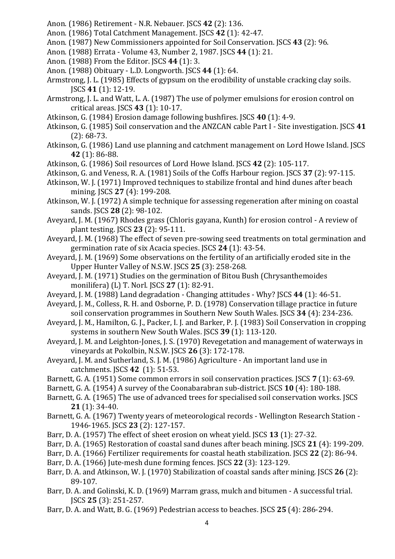- Anon. (1986) Retirement N.R. Nebauer. JSCS **42** (2): 136.
- Anon. (1986) Total Catchment Management. JSCS **42** (1): 42-47.
- Anon. (1987) New Commissioners appointed for Soil Conservation. JSCS **43** (2): 96.
- Anon. (1988) Errata Volume 43, Number 2, 1987. JSCS **44** (1): 21.
- Anon. (1988) From the Editor. JSCS **44** (1): 3.
- Anon. (1988) Obituary L.D. Longworth. JSCS **44** (1): 64.
- Armstrong, J. L. (1985) Effects of gypsum on the erodibility of unstable cracking clay soils. JSCS **41** (1): 12-19.
- Armstrong, J. L. and Watt, L. A. (1987) The use of polymer emulsions for erosion control on critical areas. JSCS **43** (1): 10-17.
- Atkinson, G. (1984) Erosion damage following bushfires. JSCS **40** (1): 4-9.
- Atkinson, G. (1985) Soil conservation and the ANZCAN cable Part I Site investigation. JSCS **41**  (2): 68-73.
- Atkinson, G. (1986) Land use planning and catchment management on Lord Howe Island. JSCS **42** (1): 86-88.
- Atkinson, G. (1986) Soil resources of Lord Howe Island. JSCS **42** (2): 105-117.
- Atkinson, G. and Veness, R. A. (1981) Soils of the Coffs Harbour region. JSCS **37** (2): 97-115.
- Atkinson, W. J. (1971) Improved techniques to stabilize frontal and hind dunes after beach mining. JSCS **27** (4): 199-208.
- Atkinson, W. J. (1972) A simple technique for assessing regeneration after mining on coastal sands. JSCS **28** (2): 98-102.
- Aveyard, J. M. (1967) Rhodes grass (Chloris gayana, Kunth) for erosion control A review of plant testing. JSCS **23** (2): 95-111.
- Aveyard, J. M. (1968) The effect of seven pre-sowing seed treatments on total germination and germination rate of six Acacia species. JSCS **24** (1): 43-54.
- Aveyard, J. M. (1969) Some observations on the fertility of an artificially eroded site in the Upper Hunter Valley of N.S.W. JSCS **25** (3): 258-268.
- Aveyard, J. M. (1971) Studies on the germination of Bitou Bush (Chrysanthemoides monilifera) (L) T. Norl. JSCS **27** (1): 82-91.
- Aveyard, J. M. (1988) Land degradation Changing attitudes Why? JSCS **44** (1): 46-51.
- Aveyard, J. M., Colless, R. H. and Osborne, P. D. (1978) Conservation tillage practice in future soil conservation programmes in Southern New South Wales. JSCS **34** (4): 234-236.
- Aveyard, J. M., Hamilton, G. J., Packer, I. J. and Barker, P. J. (1983) Soil Conservation in cropping systems in southern New South Wales. JSCS **39** (1): 113-120.
- Aveyard, J. M. and Leighton-Jones, J. S. (1970) Revegetation and management of waterways in vineyards at Pokolbin, N.S.W. JSCS **26** (3): 172-178.
- Aveyard, J. M. and Sutherland, S. J. M. (1986) Agriculture An important land use in catchments. JSCS **42** (1): 51-53.
- Barnett, G. A. (1951) Some common errors in soil conservation practices. JSCS **7** (1): 63-69.
- Barnett, G. A. (1954) A survey of the Coonabarabran sub-district. JSCS **10** (4): 180-188.
- Barnett, G. A. (1965) The use of advanced trees for specialised soil conservation works. JSCS **21** (1): 34-40.
- Barnett, G. A. (1967) Twenty years of meteorological records Wellington Research Station 1946-1965. JSCS **23** (2): 127-157.
- Barr, D. A. (1957) The effect of sheet erosion on wheat yield. JSCS **13** (1): 27-32.
- Barr, D. A. (1965) Restoration of coastal sand dunes after beach mining. JSCS **21** (4): 199-209.
- Barr, D. A. (1966) Fertilizer requirements for coastal heath stabilization. JSCS **22** (2): 86-94.
- Barr, D. A. (1966) Jute-mesh dune forming fences. JSCS **22** (3): 123-129.
- Barr, D. A. and Atkinson, W. J. (1970) Stabilization of coastal sands after mining. JSCS **26** (2): 89-107.
- Barr, D. A. and Golinski, K. D. (1969) Marram grass, mulch and bitumen A successful trial. JSCS **25** (3): 251-257.
- Barr, D. A. and Watt, B. G. (1969) Pedestrian access to beaches. JSCS **25** (4): 286-294.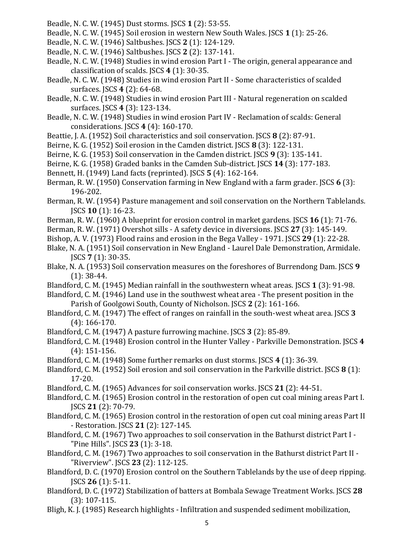- Beadle, N. C. W. (1945) Dust storms. JSCS **1** (2): 53-55.
- Beadle, N. C. W. (1945) Soil erosion in western New South Wales. JSCS **1** (1): 25-26.
- Beadle, N. C. W. (1946) Saltbushes. JSCS **2** (1): 124-129.
- Beadle, N. C. W. (1946) Saltbushes. JSCS **2** (2): 137-141.
- Beadle, N. C. W. (1948) Studies in wind erosion Part I The origin, general appearance and classification of scalds. JSCS **4** (1): 30-35.
- Beadle, N. C. W. (1948) Studies in wind erosion Part II Some characteristics of scalded surfaces. JSCS **4** (2): 64-68.
- Beadle, N. C. W. (1948) Studies in wind erosion Part III Natural regeneration on scalded surfaces. JSCS **4** (3): 123-134.
- Beadle, N. C. W. (1948) Studies in wind erosion Part IV Reclamation of scalds: General considerations. JSCS **4** (4): 160-170.
- Beattie, J. A. (1952) Soil characteristics and soil conservation. JSCS **8** (2): 87-91.
- Beirne, K. G. (1952) Soil erosion in the Camden district. JSCS **8** (3): 122-131.
- Beirne, K. G. (1953) Soil conservation in the Camden district. JSCS **9** (3): 135-141.
- Beirne, K. G. (1958) Graded banks in the Camden Sub-district. JSCS **14** (3): 177-183.
- Bennett, H. (1949) Land facts (reprinted). JSCS **5** (4): 162-164.
- Berman, R. W. (1950) Conservation farming in New England with a farm grader. JSCS **6** (3): 196-202.
- Berman, R. W. (1954) Pasture management and soil conservation on the Northern Tablelands. JSCS **10** (1): 16-23.
- Berman, R. W. (1960) A blueprint for erosion control in market gardens. JSCS **16** (1): 71-76.
- Berman, R. W. (1971) Overshot sills A safety device in diversions. JSCS **27** (3): 145-149.
- Bishop, A. V. (1973) Flood rains and erosion in the Bega Valley 1971. JSCS **29** (1): 22-28.
- Blake, N. A. (1951) Soil conservation in New England Laurel Dale Demonstration, Armidale. JSCS **7** (1): 30-35.
- Blake, N. A. (1953) Soil conservation measures on the foreshores of Burrendong Dam. JSCS **9**  (1): 38-44.
- Blandford, C. M. (1945) Median rainfall in the southwestern wheat areas. JSCS **1** (3): 91-98.
- Blandford, C. M. (1946) Land use in the southwest wheat area The present position in the Parish of Goolgowi South, County of Nicholson. JSCS **2** (2): 161-166.
- Blandford, C. M. (1947) The effect of ranges on rainfall in the south-west wheat area. JSCS **3**  (4): 166-170.
- Blandford, C. M. (1947) A pasture furrowing machine. JSCS **3** (2): 85-89.
- Blandford, C. M. (1948) Erosion control in the Hunter Valley Parkville Demonstration. JSCS **4**  (4): 151-156.
- Blandford, C. M. (1948) Some further remarks on dust storms. JSCS **4** (1): 36-39.
- Blandford, C. M. (1952) Soil erosion and soil conservation in the Parkville district. JSCS **8** (1): 17-20.
- Blandford, C. M. (1965) Advances for soil conservation works. JSCS **21** (2): 44-51.
- Blandford, C. M. (1965) Erosion control in the restoration of open cut coal mining areas Part I. JSCS **21** (2): 70-79.
- Blandford, C. M. (1965) Erosion control in the restoration of open cut coal mining areas Part II - Restoration. JSCS **21** (2): 127-145.
- Blandford, C. M. (1967) Two approaches to soil conservation in the Bathurst district Part I "Pine Hills". JSCS **23** (1): 3-18.
- Blandford, C. M. (1967) Two approaches to soil conservation in the Bathurst district Part II "Riverview". JSCS **23** (2): 112-125.
- Blandford, D. C. (1970) Erosion control on the Southern Tablelands by the use of deep ripping. JSCS **26** (1): 5-11.
- Blandford, D. C. (1972) Stabilization of batters at Bombala Sewage Treatment Works. JSCS **28**  (3): 107-115.
- Bligh, K. J. (1985) Research highlights Infiltration and suspended sediment mobilization,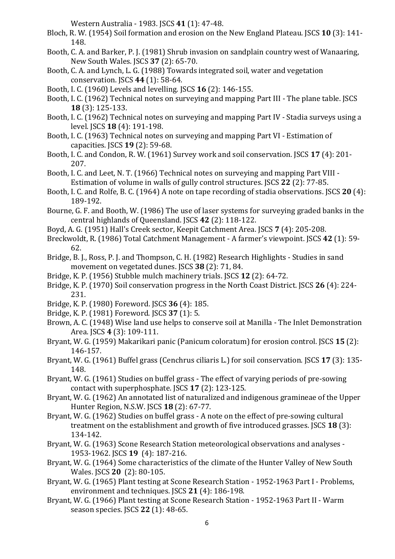Western Australia - 1983. JSCS **41** (1): 47-48.

- Bloch, R. W. (1954) Soil formation and erosion on the New England Plateau. JSCS **10** (3): 141- 148.
- Booth, C. A. and Barker, P. J. (1981) Shrub invasion on sandplain country west of Wanaaring, New South Wales. JSCS **37** (2): 65-70.
- Booth, C. A. and Lynch, L. G. (1988) Towards integrated soil, water and vegetation conservation. JSCS **44** (1): 58-64.
- Booth, I. C. (1960) Levels and levelling. JSCS **16** (2): 146-155.
- Booth, I. C. (1962) Technical notes on surveying and mapping Part III The plane table. JSCS **18** (3): 125-133.
- Booth, I. C. (1962) Technical notes on surveying and mapping Part IV Stadia surveys using a level. JSCS **18** (4): 191-198.
- Booth, I. C. (1963) Technical notes on surveying and mapping Part VI Estimation of capacities. JSCS **19** (2): 59-68.
- Booth, I. C. and Condon, R. W. (1961) Survey work and soil conservation. JSCS **17** (4): 201- 207.
- Booth, I. C. and Leet, N. T. (1966) Technical notes on surveying and mapping Part VIII Estimation of volume in walls of gully control structures. JSCS **22** (2): 77-85.
- Booth, I. C. and Rolfe, B. C. (1964) A note on tape recording of stadia observations. JSCS **20** (4): 189-192.
- Bourne, G. F. and Booth, W. (1986) The use of laser systems for surveying graded banks in the central highlands of Queensland. JSCS **42** (2): 118-122.
- Boyd, A. G. (1951) Hall's Creek sector, Keepit Catchment Area. JSCS **7** (4): 205-208.
- Breckwoldt, R. (1986) Total Catchment Management A farmer's viewpoint. JSCS **42** (1): 59- 62.
- Bridge, B. J., Ross, P. J. and Thompson, C. H. (1982) Research Highlights Studies in sand movement on vegetated dunes. JSCS **38** (2): 71, 84.
- Bridge, K. P. (1956) Stubble mulch machinery trials. JSCS **12** (2): 64-72.
- Bridge, K. P. (1970) Soil conservation progress in the North Coast District. JSCS **26** (4): 224- 231.
- Bridge, K. P. (1980) Foreword. JSCS **36** (4): 185.
- Bridge, K. P. (1981) Foreword. JSCS **37** (1): 5.
- Brown, A. C. (1948) Wise land use helps to conserve soil at Manilla The Inlet Demonstration Area. JSCS **4** (3): 109-111.
- Bryant, W. G. (1959) Makarikari panic (Panicum coloratum) for erosion control. JSCS **15** (2): 146-157.
- Bryant, W. G. (1961) Buffel grass (Cenchrus ciliaris L.) for soil conservation. JSCS **17** (3): 135- 148.
- Bryant, W. G. (1961) Studies on buffel grass The effect of varying periods of pre-sowing contact with superphosphate. JSCS **17** (2): 123-125.
- Bryant, W. G. (1962) An annotated list of naturalized and indigenous gramineae of the Upper Hunter Region, N.S.W. JSCS **18** (2): 67-77.
- Bryant, W. G. (1962) Studies on buffel grass A note on the effect of pre-sowing cultural treatment on the establishment and growth of five introduced grasses. JSCS **18** (3): 134-142.
- Bryant, W. G. (1963) Scone Research Station meteorological observations and analyses 1953-1962. JSCS **19** (4): 187-216.
- Bryant, W. G. (1964) Some characteristics of the climate of the Hunter Valley of New South Wales. JSCS **20** (2): 80-105.
- Bryant, W. G. (1965) Plant testing at Scone Research Station 1952-1963 Part I Problems, environment and techniques. JSCS **21** (4): 186-198.
- Bryant, W. G. (1966) Plant testing at Scone Research Station 1952-1963 Part II Warm season species. JSCS **22** (1): 48-65.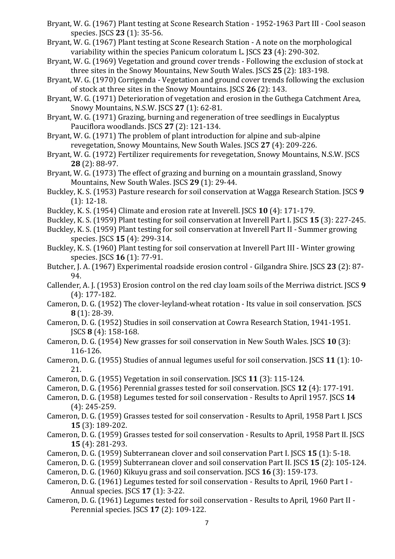- Bryant, W. G. (1967) Plant testing at Scone Research Station 1952-1963 Part III Cool season species. JSCS **23** (1): 35-56.
- Bryant, W. G. (1967) Plant testing at Scone Research Station A note on the morphological variability within the species Panicum coloratum L. JSCS **23** (4): 290-302.
- Bryant, W. G. (1969) Vegetation and ground cover trends Following the exclusion of stock at three sites in the Snowy Mountains, New South Wales. JSCS **25** (2): 183-198.
- Bryant, W. G. (1970) Corrigenda Vegetation and ground cover trends following the exclusion of stock at three sites in the Snowy Mountains. JSCS **26** (2): 143.
- Bryant, W. G. (1971) Deterioration of vegetation and erosion in the Guthega Catchment Area, Snowy Mountains, N.S.W. JSCS **27** (1): 62-81.
- Bryant, W. G. (1971) Grazing, burning and regeneration of tree seedlings in Eucalyptus Pauciflora woodlands. JSCS **27** (2): 121-134.
- Bryant, W. G. (1971) The problem of plant introduction for alpine and sub-alpine revegetation, Snowy Mountains, New South Wales. JSCS **27** (4): 209-226.
- Bryant, W. G. (1972) Fertilizer requirements for revegetation, Snowy Mountains, N.S.W. JSCS **28** (2): 88-97.
- Bryant, W. G. (1973) The effect of grazing and burning on a mountain grassland, Snowy Mountains, New South Wales. JSCS **29** (1): 29-44.
- Buckley, K. S. (1953) Pasture research for soil conservation at Wagga Research Station. JSCS **9**  (1): 12-18.
- Buckley, K. S. (1954) Climate and erosion rate at Inverell. JSCS **10** (4): 171-179.
- Buckley, K. S. (1959) Plant testing for soil conservation at Inverell Part I. JSCS **15** (3): 227-245.
- Buckley, K. S. (1959) Plant testing for soil conservation at Inverell Part II Summer growing species. JSCS **15** (4): 299-314.
- Buckley, K. S. (1960) Plant testing for soil conservation at Inverell Part III Winter growing species. JSCS **16** (1): 77-91.
- Butcher, J. A. (1967) Experimental roadside erosion control Gilgandra Shire. JSCS **23** (2): 87- 94.
- Callender, A. J. (1953) Erosion control on the red clay loam soils of the Merriwa district. JSCS **9**  (4): 177-182.
- Cameron, D. G. (1952) The clover-leyland-wheat rotation Its value in soil conservation. JSCS **8** (1): 28-39.
- Cameron, D. G. (1952) Studies in soil conservation at Cowra Research Station, 1941-1951. JSCS **8** (4): 158-168.
- Cameron, D. G. (1954) New grasses for soil conservation in New South Wales. JSCS **10** (3): 116-126.
- Cameron, D. G. (1955) Studies of annual legumes useful for soil conservation. JSCS **11** (1): 10- 21.
- Cameron, D. G. (1955) Vegetation in soil conservation. JSCS **11** (3): 115-124.
- Cameron, D. G. (1956) Perennial grasses tested for soil conservation. JSCS **12** (4): 177-191.
- Cameron, D. G. (1958) Legumes tested for soil conservation Results to April 1957. JSCS **14**  (4): 245-259.
- Cameron, D. G. (1959) Grasses tested for soil conservation Results to April, 1958 Part I. JSCS **15** (3): 189-202.
- Cameron, D. G. (1959) Grasses tested for soil conservation Results to April, 1958 Part II. JSCS **15** (4): 281-293.
- Cameron, D. G. (1959) Subterranean clover and soil conservation Part I. JSCS **15** (1): 5-18.
- Cameron, D. G. (1959) Subterranean clover and soil conservation Part II. JSCS **15** (2): 105-124.
- Cameron, D. G. (1960) Kikuyu grass and soil conservation. JSCS **16** (3): 159-173.
- Cameron, D. G. (1961) Legumes tested for soil conservation Results to April, 1960 Part I Annual species. JSCS **17** (1): 3-22.
- Cameron, D. G. (1961) Legumes tested for soil conservation Results to April, 1960 Part II Perennial species. JSCS **17** (2): 109-122.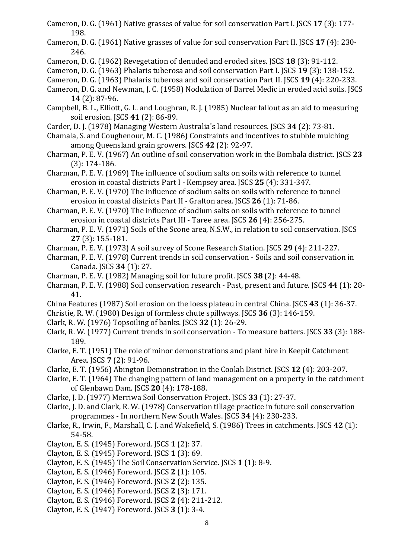- Cameron, D. G. (1961) Native grasses of value for soil conservation Part I. JSCS **17** (3): 177- 198.
- Cameron, D. G. (1961) Native grasses of value for soil conservation Part II. JSCS **17** (4): 230- 246.
- Cameron, D. G. (1962) Revegetation of denuded and eroded sites. JSCS **18** (3): 91-112.
- Cameron, D. G. (1963) Phalaris tuberosa and soil conservation Part I. JSCS **19** (3): 138-152.
- Cameron, D. G. (1963) Phalaris tuberosa and soil conservation Part II. JSCS **19** (4): 220-233.
- Cameron, D. G. and Newman, J. C. (1958) Nodulation of Barrel Medic in eroded acid soils. JSCS **14** (2): 87-96.
- Campbell, B. L., Elliott, G. L. and Loughran, R. J. (1985) Nuclear fallout as an aid to measuring soil erosion. JSCS **41** (2): 86-89.
- Carder, D. J. (1978) Managing Western Australia's land resources. JSCS **34** (2): 73-81.
- Chamala, S. and Coughenour, M. C. (1986) Constraints and incentives to stubble mulching among Queensland grain growers. JSCS **42** (2): 92-97.
- Charman, P. E. V. (1967) An outline of soil conservation work in the Bombala district. JSCS **23**  (3): 174-186.
- Charman, P. E. V. (1969) The influence of sodium salts on soils with reference to tunnel erosion in coastal districts Part I - Kempsey area. JSCS **25** (4): 331-347.
- Charman, P. E. V. (1970) The influence of sodium salts on soils with reference to tunnel erosion in coastal districts Part II - Grafton area. JSCS **26** (1): 71-86.
- Charman, P. E. V. (1970) The influence of sodium salts on soils with reference to tunnel erosion in coastal districts Part III - Taree area. JSCS **26** (4): 256-275.
- Charman, P. E. V. (1971) Soils of the Scone area, N.S.W., in relation to soil conservation. JSCS **27** (3): 155-181.
- Charman, P. E. V. (1973) A soil survey of Scone Research Station. JSCS **29** (4): 211-227.
- Charman, P. E. V. (1978) Current trends in soil conservation Soils and soil conservation in Canada. JSCS **34** (1): 27.
- Charman, P. E. V. (1982) Managing soil for future profit. JSCS **38** (2): 44-48.
- Charman, P. E. V. (1988) Soil conservation research Past, present and future. JSCS **44** (1): 28- 41.
- China Features (1987) Soil erosion on the loess plateau in central China. JSCS **43** (1): 36-37.
- Christie, R. W. (1980) Design of formless chute spillways. JSCS **36** (3): 146-159.
- Clark, R. W. (1976) Topsoiling of banks. JSCS **32** (1): 26-29.
- Clark, R. W. (1977) Current trends in soil conservation To measure batters. JSCS **33** (3): 188- 189.
- Clarke, E. T. (1951) The role of minor demonstrations and plant hire in Keepit Catchment Area. JSCS **7** (2): 91-96.
- Clarke, E. T. (1956) Abington Demonstration in the Coolah District. JSCS **12** (4): 203-207.
- Clarke, E. T. (1964) The changing pattern of land management on a property in the catchment of Glenbawn Dam. JSCS **20** (4): 178-188.
- Clarke, J. D. (1977) Merriwa Soil Conservation Project. JSCS **33** (1): 27-37.
- Clarke, J. D. and Clark, R. W. (1978) Conservation tillage practice in future soil conservation programmes - In northern New South Wales. JSCS **34** (4): 230-233.
- Clarke, R., Irwin, F., Marshall, C. J. and Wakefield, S. (1986) Trees in catchments. JSCS **42** (1): 54-58.
- Clayton, E. S. (1945) Foreword. JSCS **1** (2): 37.
- Clayton, E. S. (1945) Foreword. JSCS **1** (3): 69.
- Clayton, E. S. (1945) The Soil Conservation Service. JSCS **1** (1): 8-9.
- Clayton, E. S. (1946) Foreword. JSCS **2** (1): 105.
- Clayton, E. S. (1946) Foreword. JSCS **2** (2): 135.
- Clayton, E. S. (1946) Foreword. JSCS **2** (3): 171.
- Clayton, E. S. (1946) Foreword. JSCS **2** (4): 211-212.
- Clayton, E. S. (1947) Foreword. JSCS **3** (1): 3-4.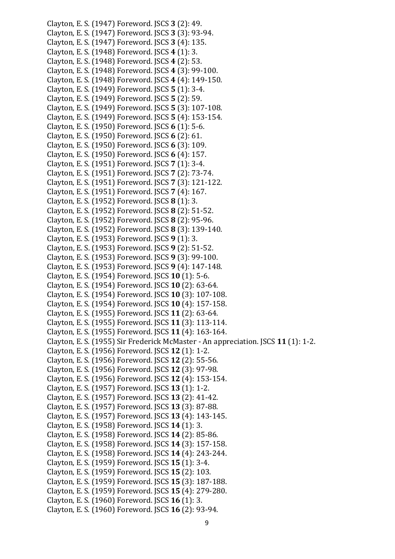Clayton, E. S. (1947) Foreword. JSCS **3** (2): 49. Clayton, E. S. (1947) Foreword. JSCS **3** (3): 93-94. Clayton, E. S. (1947) Foreword. JSCS **3** (4): 135. Clayton, E. S. (1948) Foreword. JSCS **4** (1): 3. Clayton, E. S. (1948) Foreword. JSCS **4** (2): 53. Clayton, E. S. (1948) Foreword. JSCS **4** (3): 99-100. Clayton, E. S. (1948) Foreword. JSCS **4** (4): 149-150. Clayton, E. S. (1949) Foreword. JSCS **5** (1): 3-4. Clayton, E. S. (1949) Foreword. JSCS **5** (2): 59. Clayton, E. S. (1949) Foreword. JSCS **5** (3): 107-108. Clayton, E. S. (1949) Foreword. JSCS **5** (4): 153-154. Clayton, E. S. (1950) Foreword. JSCS **6** (1): 5-6. Clayton, E. S. (1950) Foreword. JSCS **6** (2): 61. Clayton, E. S. (1950) Foreword. JSCS **6** (3): 109. Clayton, E. S. (1950) Foreword. JSCS **6** (4): 157. Clayton, E. S. (1951) Foreword. JSCS **7** (1): 3-4. Clayton, E. S. (1951) Foreword. JSCS **7** (2): 73-74. Clayton, E. S. (1951) Foreword. JSCS **7** (3): 121-122. Clayton, E. S. (1951) Foreword. JSCS **7** (4): 167. Clayton, E. S. (1952) Foreword. JSCS **8** (1): 3. Clayton, E. S. (1952) Foreword. JSCS **8** (2): 51-52. Clayton, E. S. (1952) Foreword. JSCS **8** (2): 95-96. Clayton, E. S. (1952) Foreword. JSCS **8** (3): 139-140. Clayton, E. S. (1953) Foreword. JSCS **9** (1): 3. Clayton, E. S. (1953) Foreword. JSCS **9** (2): 51-52. Clayton, E. S. (1953) Foreword. JSCS **9** (3): 99-100. Clayton, E. S. (1953) Foreword. JSCS **9** (4): 147-148. Clayton, E. S. (1954) Foreword. JSCS **10** (1): 5-6. Clayton, E. S. (1954) Foreword. JSCS **10** (2): 63-64. Clayton, E. S. (1954) Foreword. JSCS **10** (3): 107-108. Clayton, E. S. (1954) Foreword. JSCS **10** (4): 157-158. Clayton, E. S. (1955) Foreword. JSCS **11** (2): 63-64. Clayton, E. S. (1955) Foreword. JSCS **11** (3): 113-114. Clayton, E. S. (1955) Foreword. JSCS **11** (4): 163-164. Clayton, E. S. (1955) Sir Frederick McMaster - An appreciation. JSCS **11** (1): 1-2. Clayton, E. S. (1956) Foreword. JSCS **12** (1): 1-2. Clayton, E. S. (1956) Foreword. JSCS **12** (2): 55-56. Clayton, E. S. (1956) Foreword. JSCS **12** (3): 97-98. Clayton, E. S. (1956) Foreword. JSCS **12** (4): 153-154. Clayton, E. S. (1957) Foreword. JSCS **13** (1): 1-2. Clayton, E. S. (1957) Foreword. JSCS **13** (2): 41-42. Clayton, E. S. (1957) Foreword. JSCS **13** (3): 87-88. Clayton, E. S. (1957) Foreword. JSCS **13** (4): 143-145. Clayton, E. S. (1958) Foreword. JSCS **14** (1): 3. Clayton, E. S. (1958) Foreword. JSCS **14** (2): 85-86. Clayton, E. S. (1958) Foreword. JSCS **14** (3): 157-158. Clayton, E. S. (1958) Foreword. JSCS **14** (4): 243-244. Clayton, E. S. (1959) Foreword. JSCS **15** (1): 3-4. Clayton, E. S. (1959) Foreword. JSCS **15** (2): 103. Clayton, E. S. (1959) Foreword. JSCS **15** (3): 187-188. Clayton, E. S. (1959) Foreword. JSCS **15** (4): 279-280. Clayton, E. S. (1960) Foreword. JSCS **16** (1): 3. Clayton, E. S. (1960) Foreword. JSCS **16** (2): 93-94.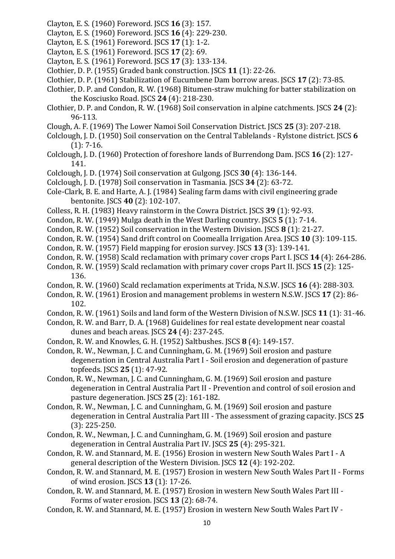- Clayton, E. S. (1960) Foreword. JSCS **16** (3): 157.
- Clayton, E. S. (1960) Foreword. JSCS **16** (4): 229-230.
- Clayton, E. S. (1961) Foreword. JSCS **17** (1): 1-2.
- Clayton, E. S. (1961) Foreword. JSCS **17** (2): 69.
- Clayton, E. S. (1961) Foreword. JSCS **17** (3): 133-134.
- Clothier, D. P. (1955) Graded bank construction. JSCS **11** (1): 22-26.
- Clothier, D. P. (1961) Stabilization of Eucumbene Dam borrow areas. JSCS **17** (2): 73-85.
- Clothier, D. P. and Condon, R. W. (1968) Bitumen-straw mulching for batter stabilization on the Kosciusko Road. JSCS **24** (4): 218-230.
- Clothier, D. P. and Condon, R. W. (1968) Soil conservation in alpine catchments. JSCS **24** (2): 96-113.
- Clough, A. F. (1969) The Lower Namoi Soil Conservation District. JSCS **25** (3): 207-218.
- Colclough, J. D. (1950) Soil conservation on the Central Tablelands Rylstone district. JSCS **6**   $(1): 7-16.$
- Colclough, J. D. (1960) Protection of foreshore lands of Burrendong Dam. JSCS **16** (2): 127- 141.
- Colclough, J. D. (1974) Soil conservation at Gulgong. JSCS **30** (4): 136-144.
- Colclough, J. D. (1978) Soil conservation in Tasmania. JSCS **34** (2): 63-72.
- Cole-Clark, B. E. and Harte, A. J. (1984) Sealing farm dams with civil engineering grade bentonite. JSCS **40** (2): 102-107.
- Colless, R. H. (1983) Heavy rainstorm in the Cowra District. JSCS **39** (1): 92-93.
- Condon, R. W. (1949) Mulga death in the West Darling country. JSCS **5** (1): 7-14.
- Condon, R. W. (1952) Soil conservation in the Western Division. JSCS **8** (1): 21-27.
- Condon, R. W. (1954) Sand drift control on Coomealla Irrigation Area. JSCS **10** (3): 109-115.
- Condon, R. W. (1957) Field mapping for erosion survey. JSCS **13** (3): 139-141.
- Condon, R. W. (1958) Scald reclamation with primary cover crops Part I. JSCS **14** (4): 264-286.
- Condon, R. W. (1959) Scald reclamation with primary cover crops Part II. JSCS **15** (2): 125- 136.
- Condon, R. W. (1960) Scald reclamation experiments at Trida, N.S.W. JSCS **16** (4): 288-303.
- Condon, R. W. (1961) Erosion and management problems in western N.S.W. JSCS **17** (2): 86- 102.
- Condon, R. W. (1961) Soils and land form of the Western Division of N.S.W. JSCS **11** (1): 31-46.
- Condon, R. W. and Barr, D. A. (1968) Guidelines for real estate development near coastal dunes and beach areas. JSCS **24** (4): 237-245.
- Condon, R. W. and Knowles, G. H. (1952) Saltbushes. JSCS **8** (4): 149-157.
- Condon, R. W., Newman, J. C. and Cunningham, G. M. (1969) Soil erosion and pasture degeneration in Central Australia Part I - Soil erosion and degeneration of pasture topfeeds. JSCS **25** (1): 47-92.
- Condon, R. W., Newman, J. C. and Cunningham, G. M. (1969) Soil erosion and pasture degeneration in Central Australia Part II - Prevention and control of soil erosion and pasture degeneration. JSCS **25** (2): 161-182.
- Condon, R. W., Newman, J. C. and Cunningham, G. M. (1969) Soil erosion and pasture degeneration in Central Australia Part III - The assessment of grazing capacity. JSCS **25**  (3): 225-250.
- Condon, R. W., Newman, J. C. and Cunningham, G. M. (1969) Soil erosion and pasture degeneration in Central Australia Part IV. JSCS **25** (4): 295-321.
- Condon, R. W. and Stannard, M. E. (1956) Erosion in western New South Wales Part I A general description of the Western Division. JSCS **12** (4): 192-202.
- Condon, R. W. and Stannard, M. E. (1957) Erosion in western New South Wales Part II Forms of wind erosion. JSCS **13** (1): 17-26.
- Condon, R. W. and Stannard, M. E. (1957) Erosion in western New South Wales Part III Forms of water erosion. JSCS **13** (2): 68-74.
- Condon, R. W. and Stannard, M. E. (1957) Erosion in western New South Wales Part IV -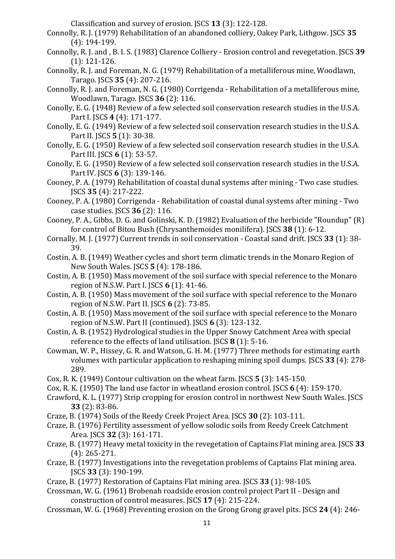Classification and survey of erosion. JSCS **13** (3): 122-128.

- Connolly, R. J. (1979) Rehabilitation of an abandoned colliery, Oakey Park, Lithgow. JSCS **35**  (4): 194-199.
- Connolly, R. J. and , B. I. S. (1983) Clarence Colliery Erosion control and revegetation. JSCS **39**  (1): 121-126.
- Connolly, R. J. and Foreman, N. G. (1979) Rehabilitation of a metalliferous mine, Woodlawn, Tarago. JSCS **35** (4): 207-216.
- Connolly, R. J. and Foreman, N. G. (1980) Corrigenda Rehabilitation of a metalliferous mine, Woodlawn, Tarago. JSCS **36** (2): 116.
- Conolly, E. G. (1948) Review of a few selected soil conservation research studies in the U.S.A. Part I. JSCS **4** (4): 171-177.
- Conolly, E. G. (1949) Review of a few selected soil conservation research studies in the U.S.A. Part II. JSCS **5** (1): 30-38.
- Conolly, E. G. (1950) Review of a few selected soil conservation research studies in the U.S.A. Part III. JSCS **6** (1): 53-57.
- Conolly, E. G. (1950) Review of a few selected soil conservation research studies in the U.S.A. Part IV. JSCS **6** (3): 139-146.
- Cooney, P. A. (1979) Rehabilitation of coastal dunal systems after mining Two case studies. JSCS **35** (4): 217-222.
- Cooney, P. A. (1980) Corrigenda Rehabilitation of coastal dunal systems after mining Two case studies. JSCS **36** (2): 116.
- Cooney, P. A., Gibbs, D. G. and Golinski, K. D. (1982) Evaluation of the herbicide "Roundup" (R) for control of Bitou Bush (Chrysanthemoides monilifera). JSCS **38** (1): 6-12.
- Cornally, M. J. (1977) Current trends in soil conservation Coastal sand drift. JSCS **33** (1): 38- 39.
- Costin, A. B. (1949) Weather cycles and short term climatic trends in the Monaro Region of New South Wales. JSCS **5** (4): 178-186.
- Costin, A. B. (1950) Mass movement of the soil surface with special reference to the Monaro region of N.S.W. Part I. JSCS **6** (1): 41-46.
- Costin, A. B. (1950) Mass movement of the soil surface with special reference to the Monaro region of N.S.W. Part II. JSCS **6** (2): 73-85.
- Costin, A. B. (1950) Mass movement of the soil surface with special reference to the Monaro region of N.S.W. Part II (continued). JSCS **6** (3): 123-132.
- Costin, A. B. (1952) Hydrological studies in the Upper Snowy Catchment Area with special reference to the effects of land utilisation. JSCS **8** (1): 5-16.
- Cowman, W. P., Hissey, G. R. and Watson, G. H. M. (1977) Three methods for estimating earth volumes with particular application to reshaping mining spoil dumps. JSCS **33** (4): 278- 289.
- Cox, R. K. (1949) Contour cultivation on the wheat farm. JSCS **5** (3): 145-150.
- Cox, R. K. (1950) The land use factor in wheatland erosion control. JSCS **6** (4): 159-170.
- Crawford, K. L. (1977) Strip cropping for erosion control in northwest New South Wales. JSCS **33** (2): 83-86.
- Craze, B. (1974) Soils of the Reedy Creek Project Area. JSCS **30** (2): 103-111.
- Craze, B. (1976) Fertility assessment of yellow solodic soils from Reedy Creek Catchment Area. JSCS **32** (3): 161-171.
- Craze, B. (1977) Heavy metal toxicity in the revegetation of Captains Flat mining area. JSCS **33**  (4): 265-271.
- Craze, B. (1977) Investigations into the revegetation problems of Captains Flat mining area. JSCS **33** (3): 190-199.
- Craze, B. (1977) Restoration of Captains Flat mining area. JSCS **33** (1): 98-105.
- Crossman, W. G. (1961) Brobenah roadside erosion control project Part II Design and construction of control measures. JSCS **17** (4): 215-224.
- Crossman, W. G. (1968) Preventing erosion on the Grong Grong gravel pits. JSCS **24** (4): 246-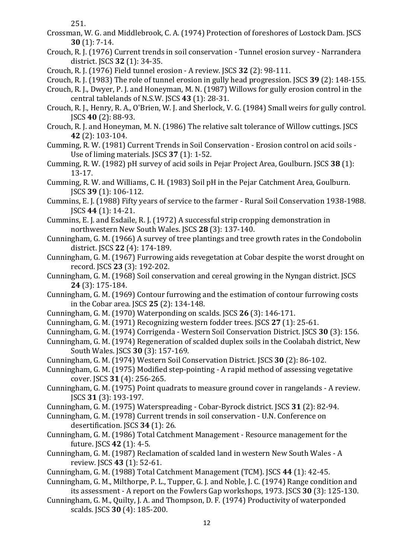251.

- Crossman, W. G. and Middlebrook, C. A. (1974) Protection of foreshores of Lostock Dam. JSCS **30** (1): 7-14.
- Crouch, R. J. (1976) Current trends in soil conservation Tunnel erosion survey Narrandera district. JSCS **32** (1): 34-35.
- Crouch, R. J. (1976) Field tunnel erosion A review. JSCS **32** (2): 98-111.
- Crouch, R. J. (1983) The role of tunnel erosion in gully head progression. JSCS **39** (2): 148-155.
- Crouch, R. J., Dwyer, P. J. and Honeyman, M. N. (1987) Willows for gully erosion control in the central tablelands of N.S.W. JSCS **43** (1): 28-31.
- Crouch, R. J., Henry, R. A., O'Brien, W. J. and Sherlock, V. G. (1984) Small weirs for gully control. JSCS **40** (2): 88-93.
- Crouch, R. J. and Honeyman, M. N. (1986) The relative salt tolerance of Willow cuttings. JSCS **42** (2): 103-104.
- Cumming, R. W. (1981) Current Trends in Soil Conservation Erosion control on acid soils Use of liming materials. JSCS **37** (1): 1-52.
- Cumming, R. W. (1982) pH survey of acid soils in Pejar Project Area, Goulburn. JSCS **38** (1): 13-17.
- Cumming, R. W. and Williams, C. H. (1983) Soil pH in the Pejar Catchment Area, Goulburn. JSCS **39** (1): 106-112.
- Cummins, E. J. (1988) Fifty years of service to the farmer Rural Soil Conservation 1938-1988. JSCS **44** (1): 14-21.
- Cummins, E. J. and Esdaile, R. J. (1972) A successful strip cropping demonstration in northwestern New South Wales. JSCS **28** (3): 137-140.
- Cunningham, G. M. (1966) A survey of tree plantings and tree growth rates in the Condobolin district. JSCS **22** (4): 174-189.
- Cunningham, G. M. (1967) Furrowing aids revegetation at Cobar despite the worst drought on record. JSCS **23** (3): 192-202.
- Cunningham, G. M. (1968) Soil conservation and cereal growing in the Nyngan district. JSCS **24** (3): 175-184.
- Cunningham, G. M. (1969) Contour furrowing and the estimation of contour furrowing costs in the Cobar area. JSCS **25** (2): 134-148.
- Cunningham, G. M. (1970) Waterponding on scalds. JSCS **26** (3): 146-171.
- Cunningham, G. M. (1971) Recognizing western fodder trees. JSCS **27** (1): 25-61.
- Cunningham, G. M. (1974) Corrigenda Western Soil Conservation District. JSCS **30** (3): 156.
- Cunningham, G. M. (1974) Regeneration of scalded duplex soils in the Coolabah district, New South Wales. JSCS **30** (3): 157-169.
- Cunningham, G. M. (1974) Western Soil Conservation District. JSCS **30** (2): 86-102.
- Cunningham, G. M. (1975) Modified step-pointing A rapid method of assessing vegetative cover. JSCS **31** (4): 256-265.
- Cunningham, G. M. (1975) Point quadrats to measure ground cover in rangelands A review. JSCS **31** (3): 193-197.
- Cunningham, G. M. (1975) Waterspreading Cobar-Byrock district. JSCS **31** (2): 82-94.
- Cunningham, G. M. (1978) Current trends in soil conservation U.N. Conference on desertification. JSCS **34** (1): 26.
- Cunningham, G. M. (1986) Total Catchment Management Resource management for the future. JSCS **42** (1): 4-5.
- Cunningham, G. M. (1987) Reclamation of scalded land in western New South Wales A review. JSCS **43** (1): 52-61.
- Cunningham, G. M. (1988) Total Catchment Management (TCM). JSCS **44** (1): 42-45.
- Cunningham, G. M., Milthorpe, P. L., Tupper, G. J. and Noble, J. C. (1974) Range condition and its assessment - A report on the Fowlers Gap workshops, 1973. JSCS **30** (3): 125-130.
- Cunningham, G. M., Quilty, J. A. and Thompson, D. F. (1974) Productivity of waterponded scalds. JSCS **30** (4): 185-200.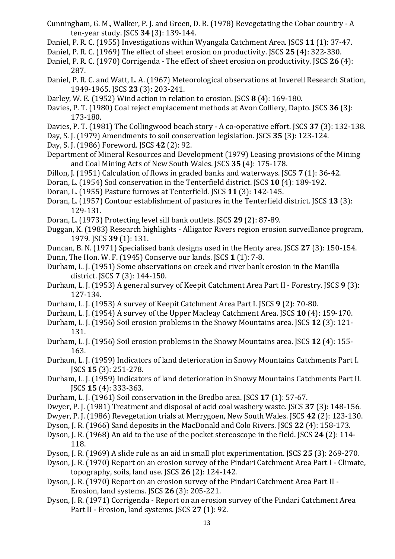- Cunningham, G. M., Walker, P. J. and Green, D. R. (1978) Revegetating the Cobar country A ten-year study. JSCS **34** (3): 139-144.
- Daniel, P. R. C. (1955) Investigations within Wyangala Catchment Area. JSCS **11** (1): 37-47.
- Daniel, P. R. C. (1969) The effect of sheet erosion on productivity. JSCS **25** (4): 322-330.
- Daniel, P. R. C. (1970) Corrigenda The effect of sheet erosion on productivity. JSCS **26** (4): 287.
- Daniel, P. R. C. and Watt, L. A. (1967) Meteorological observations at Inverell Research Station, 1949-1965. JSCS **23** (3): 203-241.
- Darley, W. E. (1952) Wind action in relation to erosion. JSCS **8** (4): 169-180.
- Davies, P. T. (1980) Coal reject emplacement methods at Avon Colliery, Dapto. JSCS **36** (3): 173-180.
- Davies, P. T. (1981) The Collingwood beach story A co-operative effort. JSCS **37** (3): 132-138.
- Day, S. J. (1979) Amendments to soil conservation legislation. JSCS **35** (3): 123-124.
- Day, S. J. (1986) Foreword. JSCS **42** (2): 92.
- Department of Mineral Resources and Development (1979) Leasing provisions of the Mining and Coal Mining Acts of New South Wales. JSCS **35** (4): 175-178.
- Dillon, J. (1951) Calculation of flows in graded banks and waterways. JSCS **7** (1): 36-42.
- Doran, L. (1954) Soil conservation in the Tenterfield district. JSCS **10** (4): 189-192.
- Doran, L. (1955) Pasture furrows at Tenterfield. JSCS **11** (3): 142-145.
- Doran, L. (1957) Contour establishment of pastures in the Tenterfield district. JSCS **13** (3): 129-131.
- Doran, L. (1973) Protecting level sill bank outlets. JSCS **29** (2): 87-89.
- Duggan, K. (1983) Research highlights Alligator Rivers region erosion surveillance program, 1979. JSCS **39** (1): 131.
- Duncan, B. N. (1971) Specialised bank designs used in the Henty area. JSCS **27** (3): 150-154.
- Dunn, The Hon. W. F. (1945) Conserve our lands. JSCS **1** (1): 7-8.
- Durham, L. J. (1951) Some observations on creek and river bank erosion in the Manilla district. JSCS **7** (3): 144-150.
- Durham, L. J. (1953) A general survey of Keepit Catchment Area Part II Forestry. JSCS **9** (3): 127-134.
- Durham, L. J. (1953) A survey of Keepit Catchment Area Part I. JSCS **9** (2): 70-80.
- Durham, L. J. (1954) A survey of the Upper Macleay Catchment Area. JSCS **10** (4): 159-170.
- Durham, L. J. (1956) Soil erosion problems in the Snowy Mountains area. JSCS **12** (3): 121- 131.
- Durham, L. J. (1956) Soil erosion problems in the Snowy Mountains area. JSCS **12** (4): 155- 163.
- Durham, L. J. (1959) Indicators of land deterioration in Snowy Mountains Catchments Part I. JSCS **15** (3): 251-278.
- Durham, L. J. (1959) Indicators of land deterioration in Snowy Mountains Catchments Part II. JSCS **15** (4): 333-363.
- Durham, L. J. (1961) Soil conservation in the Bredbo area. JSCS **17** (1): 57-67.
- Dwyer, P. J. (1981) Treatment and disposal of acid coal washery waste. JSCS **37** (3): 148-156.
- Dwyer, P. J. (1986) Revegetation trials at Merrygoen, New South Wales. JSCS **42** (2): 123-130.
- Dyson, J. R. (1966) Sand deposits in the MacDonald and Colo Rivers. JSCS **22** (4): 158-173.
- Dyson, J. R. (1968) An aid to the use of the pocket stereoscope in the field. JSCS **24** (2): 114- 118.
- Dyson, J. R. (1969) A slide rule as an aid in small plot experimentation. JSCS **25** (3): 269-270.
- Dyson, J. R. (1970) Report on an erosion survey of the Pindari Catchment Area Part I Climate, topography, soils, land use. JSCS **26** (2): 124-142.
- Dyson, J. R. (1970) Report on an erosion survey of the Pindari Catchment Area Part II Erosion, land systems. JSCS **26** (3): 205-221.
- Dyson, J. R. (1971) Corrigenda Report on an erosion survey of the Pindari Catchment Area Part II - Erosion, land systems. JSCS **27** (1): 92.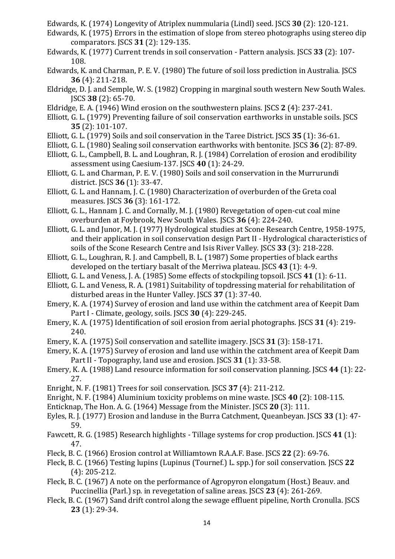Edwards, K. (1974) Longevity of Atriplex nummularia (Lindl) seed. JSCS **30** (2): 120-121.

- Edwards, K. (1975) Errors in the estimation of slope from stereo photographs using stereo dip comparators. JSCS **31** (2): 129-135.
- Edwards, K. (1977) Current trends in soil conservation Pattern analysis. JSCS **33** (2): 107- 108.
- Edwards, K. and Charman, P. E. V. (1980) The future of soil loss prediction in Australia. JSCS **36** (4): 211-218.
- Eldridge, D. J. and Semple, W. S. (1982) Cropping in marginal south western New South Wales. JSCS **38** (2): 65-70.
- Eldridge, E. A. (1946) Wind erosion on the southwestern plains. JSCS **2** (4): 237-241.
- Elliott, G. L. (1979) Preventing failure of soil conservation earthworks in unstable soils. JSCS **35** (2): 101-107.
- Elliott, G. L. (1979) Soils and soil conservation in the Taree District. JSCS **35** (1): 36-61.
- Elliott, G. L. (1980) Sealing soil conservation earthworks with bentonite. JSCS **36** (2): 87-89.
- Elliott, G. L., Campbell, B. L. and Loughran, R. J. (1984) Correlation of erosion and erodibility assessment using Caesium-137. JSCS **40** (1): 24-29.
- Elliott, G. L. and Charman, P. E. V. (1980) Soils and soil conservation in the Murrurundi district. JSCS **36** (1): 33-47.
- Elliott, G. L. and Hannam, J. C. (1980) Characterization of overburden of the Greta coal measures. JSCS **36** (3): 161-172.
- Elliott, G. L., Hannam J. C. and Cornally, M. J. (1980) Revegetation of open-cut coal mine overburden at Foybrook, New South Wales. JSCS **36** (4): 224-240.
- Elliott, G. L. and Junor, M. J. (1977) Hydrological studies at Scone Research Centre, 1958-1975, and their application in soil conservation design Part II - Hydrological characteristics of soils of the Scone Research Centre and Isis River Valley. JSCS **33** (3): 218-228.
- Elliott, G. L., Loughran, R. J. and Campbell, B. L. (1987) Some properties of black earths developed on the tertiary basalt of the Merriwa plateau. JSCS **43** (1): 4-9.
- Elliott, G. L. and Veness, J. A. (1985) Some effects of stockpiling topsoil. JSCS **41** (1): 6-11.
- Elliott, G. L. and Veness, R. A. (1981) Suitability of topdressing material for rehabilitation of disturbed areas in the Hunter Valley. JSCS **37** (1): 37-40.
- Emery, K. A. (1974) Survey of erosion and land use within the catchment area of Keepit Dam Part I - Climate, geology, soils. JSCS **30** (4): 229-245.
- Emery, K. A. (1975) Identification of soil erosion from aerial photographs. JSCS **31** (4): 219- 240.
- Emery, K. A. (1975) Soil conservation and satellite imagery. JSCS **31** (3): 158-171.
- Emery, K. A. (1975) Survey of erosion and land use within the catchment area of Keepit Dam Part II - Topography, land use and erosion. JSCS **31** (1): 33-58.
- Emery, K. A. (1988) Land resource information for soil conservation planning. JSCS **44** (1): 22- 27.
- Enright, N. F. (1981) Trees for soil conservation. JSCS **37** (4): 211-212.
- Enright, N. F. (1984) Aluminium toxicity problems on mine waste. JSCS **40** (2): 108-115.
- Enticknap, The Hon. A. G. (1964) Message from the Minister. JSCS **20** (3): 111.
- Eyles, R. J. (1977) Erosion and landuse in the Burra Catchment, Queanbeyan. JSCS **33** (1): 47- 59.
- Fawcett, R. G. (1985) Research highlights Tillage systems for crop production. JSCS **41** (1): 47.
- Fleck, B. C. (1966) Erosion control at Williamtown R.A.A.F. Base. JSCS **22** (2): 69-76.
- Fleck, B. C. (1966) Testing lupins (Lupinus (Tournef.) L. spp.) for soil conservation. JSCS **22**  (4): 205-212.
- Fleck, B. C. (1967) A note on the performance of Agropyron elongatum (Host.) Beauv. and Puccinellia (Parl.) sp. in revegetation of saline areas. JSCS **23** (4): 261-269.
- Fleck, B. C. (1967) Sand drift control along the sewage effluent pipeline, North Cronulla. JSCS **23** (1): 29-34.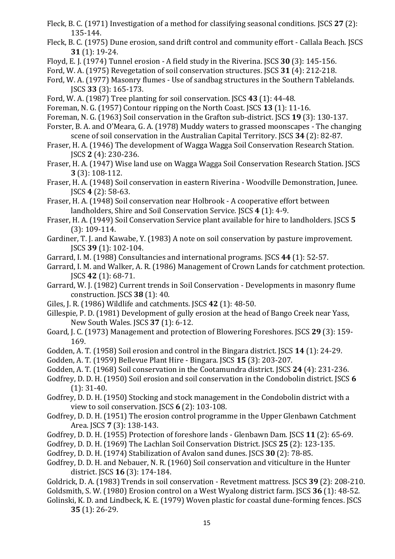- Fleck, B. C. (1971) Investigation of a method for classifying seasonal conditions. JSCS **27** (2): 135-144.
- Fleck, B. C. (1975) Dune erosion, sand drift control and community effort Callala Beach. JSCS **31** (1): 19-24.
- Floyd, E. J. (1974) Tunnel erosion A field study in the Riverina. JSCS **30** (3): 145-156.
- Ford, W. A. (1975) Revegetation of soil conservation structures. JSCS **31** (4): 212-218.
- Ford, W. A. (1977) Masonry flumes Use of sandbag structures in the Southern Tablelands. JSCS **33** (3): 165-173.
- Ford, W. A. (1987) Tree planting for soil conservation. JSCS **43** (1): 44-48.
- Foreman, N. G. (1957) Contour ripping on the North Coast. JSCS **13** (1): 11-16.
- Foreman, N. G. (1963) Soil conservation in the Grafton sub-district. JSCS **19** (3): 130-137.
- Forster, B. A. and O'Meara, G. A. (1978) Muddy waters to grassed moonscapes The changing scene of soil conservation in the Australian Capital Territory. JSCS **34** (2): 82-87.
- Fraser, H. A. (1946) The development of Wagga Wagga Soil Conservation Research Station. JSCS **2** (4): 230-236.
- Fraser, H. A. (1947) Wise land use on Wagga Wagga Soil Conservation Research Station. JSCS **3** (3): 108-112.
- Fraser, H. A. (1948) Soil conservation in eastern Riverina Woodville Demonstration, Junee. JSCS **4** (2): 58-63.
- Fraser, H. A. (1948) Soil conservation near Holbrook A cooperative effort between landholders, Shire and Soil Conservation Service. JSCS **4** (1): 4-9.
- Fraser, H. A. (1949) Soil Conservation Service plant available for hire to landholders. JSCS **5**  (3): 109-114.
- Gardiner, T. J. and Kawabe, Y. (1983) A note on soil conservation by pasture improvement. JSCS **39** (1): 102-104.
- Garrard, I. M. (1988) Consultancies and international programs. JSCS **44** (1): 52-57.
- Garrard, I. M. and Walker, A. R. (1986) Management of Crown Lands for catchment protection. JSCS **42** (1): 68-71.
- Garrard, W. J. (1982) Current trends in Soil Conservation Developments in masonry flume construction. JSCS **38** (1): 40.
- Giles, J. R. (1986) Wildlife and catchments. JSCS **42** (1): 48-50.
- Gillespie, P. D. (1981) Development of gully erosion at the head of Bango Creek near Yass, New South Wales. JSCS **37** (1): 6-12.
- Goard, J. C. (1973) Management and protection of Blowering Foreshores. JSCS **29** (3): 159- 169.
- Godden, A. T. (1958) Soil erosion and control in the Bingara district. JSCS **14** (1): 24-29.
- Godden, A. T. (1959) Bellevue Plant Hire Bingara. JSCS **15** (3): 203-207.
- Godden, A. T. (1968) Soil conservation in the Cootamundra district. JSCS **24** (4): 231-236.
- Godfrey, D. D. H. (1950) Soil erosion and soil conservation in the Condobolin district. JSCS **6**  (1): 31-40.
- Godfrey, D. D. H. (1950) Stocking and stock management in the Condobolin district with a view to soil conservation. JSCS **6** (2): 103-108.
- Godfrey, D. D. H. (1951) The erosion control programme in the Upper Glenbawn Catchment Area. JSCS **7** (3): 138-143.
- Godfrey, D. D. H. (1955) Protection of foreshore lands Glenbawn Dam. JSCS **11** (2): 65-69.
- Godfrey, D. D. H. (1969) The Lachlan Soil Conservation District. JSCS **25** (2): 123-135.
- Godfrey, D. D. H. (1974) Stabilization of Avalon sand dunes. JSCS **30** (2): 78-85.
- Godfrey, D. D. H. and Nebauer, N. R. (1960) Soil conservation and viticulture in the Hunter district. JSCS **16** (3): 174-184.
- Goldrick, D. A. (1983) Trends in soil conservation Revetment mattress. JSCS **39** (2): 208-210.
- Goldsmith, S. W. (1980) Erosion control on a West Wyalong district farm. JSCS **36** (1): 48-52.
- Golinski, K. D. and Lindbeck, K. E. (1979) Woven plastic for coastal dune-forming fences. JSCS **35** (1): 26-29.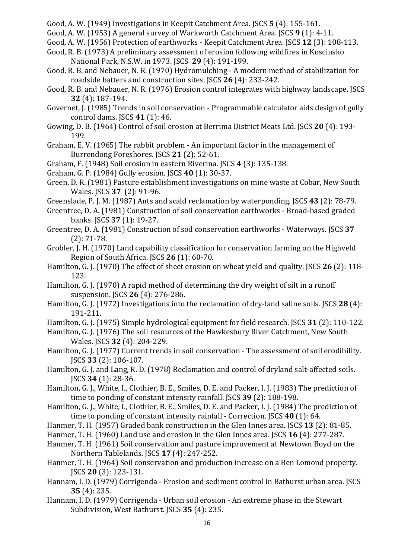- Good, A. W. (1949) Investigations in Keepit Catchment Area. JSCS **5** (4): 155-161.
- Good, A. W. (1953) A general survey of Warkworth Catchment Area. JSCS **9** (1): 4-11.
- Good, A. W. (1956) Protection of earthworks Keepit Catchment Area. JSCS **12** (3): 108-113.
- Good, R. B. (1973) A preliminary assessment of erosion following wildfires in Kosciusko National Park, N.S.W. in 1973. JSCS **29** (4): 191-199.
- Good, R. B. and Nebauer, N. R. (1970) Hydromulching A modern method of stabilization for roadside batters and construction sites. JSCS **26** (4): 233-242.
- Good, R. B. and Nebauer, N. R. (1976) Erosion control integrates with highway landscape. JSCS **32** (4): 187-194.
- Governet, J. (1985) Trends in soil conservation Programmable calculator aids design of gully control dams. JSCS **41** (1): 46.
- Gowing, D. B. (1964) Control of soil erosion at Berrima District Meats Ltd. JSCS **20** (4): 193- 199.
- Graham, E. V. (1965) The rabbit problem An important factor in the management of Burrendong Foreshores. JSCS **21** (2): 52-61.
- Graham, F. (1948) Soil erosion in eastern Riverina. JSCS **4** (3): 135-138.
- Graham, G. P. (1984) Gully erosion. JSCS **40** (1): 30-37.
- Green, D. R. (1981) Pasture establishment investigations on mine waste at Cobar, New South Wales. JSCS **37** (2): 91-96.
- Greenslade, P. J. M. (1987) Ants and scald reclamation by waterponding. JSCS **43** (2): 78-79.
- Greentree, D. A. (1981) Construction of soil conservation earthworks Broad-based graded banks. JSCS **37** (1): 19-27.
- Greentree, D. A. (1981) Construction of soil conservation earthworks Waterways. JSCS **37**  (2): 71-78.
- Grobler, J. H. (1970) Land capability classification for conservation farming on the Highveld Region of South Africa. JSCS **26** (1): 60-70.
- Hamilton, G. J. (1970) The effect of sheet erosion on wheat yield and quality. JSCS **26** (2): 118- 123.
- Hamilton, G. J. (1970) A rapid method of determining the dry weight of silt in a runoff suspension. JSCS **26** (4): 276-286.
- Hamilton, G. J. (1972) Investigations into the reclamation of dry-land saline soils. JSCS **28** (4): 191-211.
- Hamilton, G. J. (1975) Simple hydrological equipment for field research. JSCS **31** (2): 110-122.
- Hamilton, G. J. (1976) The soil resources of the Hawkesbury River Catchment, New South Wales. JSCS **32** (4): 204-229.
- Hamilton, G. J. (1977) Current trends in soil conservation The assessment of soil erodibility. JSCS **33** (2): 106-107.
- Hamilton, G. J. and Lang, R. D. (1978) Reclamation and control of dryland salt-affected soils. JSCS **34** (1): 28-36.
- Hamilton, G. J., White, I., Clothier, B. E., Smiles, D. E. and Packer, I. J. (1983) The prediction of time to ponding of constant intensity rainfall. JSCS **39** (2): 188-198.
- Hamilton, G. J., White, I., Clothier, B. E., Smiles, D. E. and Packer, I. J. (1984) The prediction of time to ponding of constant intensity rainfall - Correction. JSCS **40** (1): 64.
- Hanmer, T. H. (1957) Graded bank construction in the Glen Innes area. JSCS **13** (2): 81-85.
- Hanmer, T. H. (1960) Land use and erosion in the Glen Innes area. JSCS **16** (4): 277-287.
- Hanmer, T. H. (1961) Soil conservation and pasture improvement at Newtown Boyd on the Northern Tablelands. JSCS **17** (4): 247-252.
- Hanmer, T. H. (1964) Soil conservation and production increase on a Ben Lomond property. JSCS **20** (3): 123-131.
- Hannam, I. D. (1979) Corrigenda Erosion and sediment control in Bathurst urban area. JSCS **35** (4): 235.
- Hannam, I. D. (1979) Corrigenda Urban soil erosion An extreme phase in the Stewart Subdivision, West Bathurst. JSCS **35** (4): 235.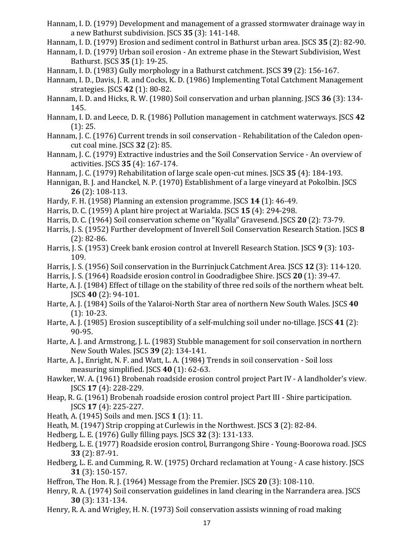- Hannam, I. D. (1979) Development and management of a grassed stormwater drainage way in a new Bathurst subdivision. JSCS **35** (3): 141-148.
- Hannam, I. D. (1979) Erosion and sediment control in Bathurst urban area. JSCS **35** (2): 82-90.
- Hannam, I. D. (1979) Urban soil erosion An extreme phase in the Stewart Subdivision, West Bathurst. JSCS **35** (1): 19-25.
- Hannam, I. D. (1983) Gully morphology in a Bathurst catchment. JSCS **39** (2): 156-167.
- Hannam, I. D., Davis, J. R. and Cocks, K. D. (1986) Implementing Total Catchment Management strategies. JSCS **42** (1): 80-82.
- Hannam, I. D. and Hicks, R. W. (1980) Soil conservation and urban planning. JSCS **36** (3): 134- 145.
- Hannam, I. D. and Leece, D. R. (1986) Pollution management in catchment waterways. JSCS **42**  (1): 25.
- Hannam, J. C. (1976) Current trends in soil conservation Rehabilitation of the Caledon opencut coal mine. JSCS **32** (2): 85.
- Hannam, J. C. (1979) Extractive industries and the Soil Conservation Service An overview of activities. JSCS **35** (4): 167-174.
- Hannam, J. C. (1979) Rehabilitation of large scale open-cut mines. JSCS **35** (4): 184-193.
- Hannigan, B. J. and Hanckel, N. P. (1970) Establishment of a large vineyard at Pokolbin. JSCS **26** (2): 108-113.
- Hardy, F. H. (1958) Planning an extension programme. JSCS **14** (1): 46-49.
- Harris, D. C. (1959) A plant hire project at Warialda. JSCS **15** (4): 294-298.
- Harris, D. C. (1964) Soil conservation scheme on "Kyalla" Gravesend. JSCS **20** (2): 73-79.
- Harris, J. S. (1952) Further development of Inverell Soil Conservation Research Station. JSCS **8**  (2): 82-86.
- Harris, J. S. (1953) Creek bank erosion control at Inverell Research Station. JSCS **9** (3): 103- 109.
- Harris, J. S. (1956) Soil conservation in the Burrinjuck Catchment Area. JSCS **12** (3): 114-120.
- Harris, J. S. (1964) Roadside erosion control in Goodradigbee Shire. JSCS **20** (1): 39-47.
- Harte, A. J. (1984) Effect of tillage on the stability of three red soils of the northern wheat belt. JSCS **40** (2): 94-101.
- Harte, A. J. (1984) Soils of the Yalaroi-North Star area of northern New South Wales. JSCS **40**  (1): 10-23.
- Harte, A. J. (1985) Erosion susceptibility of a self-mulching soil under no-tillage. JSCS **41** (2): 90-95.
- Harte, A. J. and Armstrong, J. L. (1983) Stubble management for soil conservation in northern New South Wales. JSCS **39** (2): 134-141.
- Harte, A. J., Enright, N. F. and Watt, L. A. (1984) Trends in soil conservation Soil loss measuring simplified. JSCS **40** (1): 62-63.
- Hawker, W. A. (1961) Brobenah roadside erosion control project Part IV A landholder's view. JSCS **17** (4): 228-229.
- Heap, R. G. (1961) Brobenah roadside erosion control project Part III Shire participation. JSCS **17** (4): 225-227.
- Heath, A. (1945) Soils and men. JSCS **1** (1): 11.
- Heath, M. (1947) Strip cropping at Curlewis in the Northwest. JSCS **3** (2): 82-84.
- Hedberg, L. E. (1976) Gully filling pays. JSCS **32** (3): 131-133.
- Hedberg, L. E. (1977) Roadside erosion control, Burrangong Shire Young-Boorowa road. JSCS **33** (2): 87-91.
- Hedberg, L. E. and Cumming, R. W. (1975) Orchard reclamation at Young A case history. JSCS **31** (3): 150-157.
- Heffron, The Hon. R. J. (1964) Message from the Premier. JSCS **20** (3): 108-110.
- Henry, R. A. (1974) Soil conservation guidelines in land clearing in the Narrandera area. JSCS **30** (3): 131-134.
- Henry, R. A. and Wrigley, H. N. (1973) Soil conservation assists winning of road making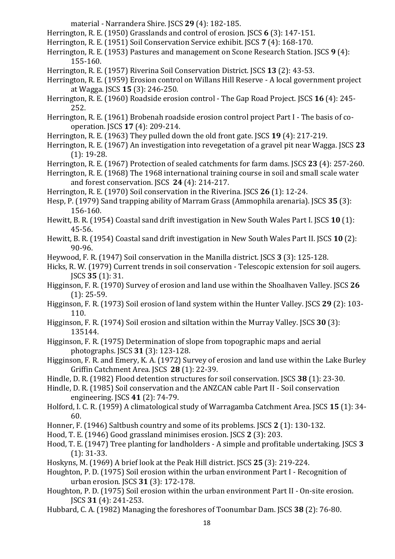material - Narrandera Shire. JSCS **29** (4): 182-185.

Herrington, R. E. (1950) Grasslands and control of erosion. JSCS **6** (3): 147-151.

- Herrington, R. E. (1951) Soil Conservation Service exhibit. JSCS **7** (4): 168-170.
- Herrington, R. E. (1953) Pastures and management on Scone Research Station. JSCS **9** (4): 155-160.
- Herrington, R. E. (1957) Riverina Soil Conservation District. JSCS **13** (2): 43-53.
- Herrington, R. E. (1959) Erosion control on Willans Hill Reserve A local government project at Wagga. JSCS **15** (3): 246-250.
- Herrington, R. E. (1960) Roadside erosion control The Gap Road Project. JSCS **16** (4): 245- 252.
- Herrington, R. E. (1961) Brobenah roadside erosion control project Part I The basis of cooperation. JSCS **17** (4): 209-214.
- Herrington, R. E. (1963) They pulled down the old front gate. JSCS **19** (4): 217-219.
- Herrington, R. E. (1967) An investigation into revegetation of a gravel pit near Wagga. JSCS **23**  (1): 19-28.
- Herrington, R. E. (1967) Protection of sealed catchments for farm dams. JSCS **23** (4): 257-260.

Herrington, R. E. (1968) The 1968 international training course in soil and small scale water and forest conservation. JSCS **24** (4): 214-217.

- Herrington, R. E. (1970) Soil conservation in the Riverina. JSCS **26** (1): 12-24.
- Hesp, P. (1979) Sand trapping ability of Marram Grass (Ammophila arenaria). JSCS **35** (3): 156-160.
- Hewitt, B. R. (1954) Coastal sand drift investigation in New South Wales Part I. JSCS **10** (1): 45-56.
- Hewitt, B. R. (1954) Coastal sand drift investigation in New South Wales Part II. JSCS **10** (2): 90-96.
- Heywood, F. R. (1947) Soil conservation in the Manilla district. JSCS **3** (3): 125-128.
- Hicks, R. W. (1979) Current trends in soil conservation Telescopic extension for soil augers. JSCS **35** (1): 31.
- Higginson, F. R. (1970) Survey of erosion and land use within the Shoalhaven Valley. JSCS **26**  (1): 25-59.
- Higginson, F. R. (1973) Soil erosion of land system within the Hunter Valley. JSCS **29** (2): 103- 110.
- Higginson, F. R. (1974) Soil erosion and siltation within the Murray Valley. JSCS **30** (3): 135144.
- Higginson, F. R. (1975) Determination of slope from topographic maps and aerial photographs. JSCS **31** (3): 123-128.
- Higginson, F. R. and Emery, K. A. (1972) Survey of erosion and land use within the Lake Burley Griffin Catchment Area. JSCS **28** (1): 22-39.
- Hindle, D. R. (1982) Flood detention structures for soil conservation. JSCS **38** (1): 23-30.
- Hindle, D. R. (1985) Soil conservation and the ANZCAN cable Part II Soil conservation engineering. JSCS **41** (2): 74-79.
- Holford, I. C. R. (1959) A climatological study of Warragamba Catchment Area. JSCS **15** (1): 34- 60.
- Honner, F. (1946) Saltbush country and some of its problems. JSCS **2** (1): 130-132.
- Hood, T. E. (1946) Good grassland minimises erosion. JSCS **2** (3): 203.
- Hood, T. E. (1947) Tree planting for landholders A simple and profitable undertaking. JSCS **3**  (1): 31-33.
- Hoskyns, M. (1969) A brief look at the Peak Hill district. JSCS **25** (3): 219-224.
- Houghton, P. D. (1975) Soil erosion within the urban environment Part I Recognition of urban erosion. JSCS **31** (3): 172-178.
- Houghton, P. D. (1975) Soil erosion within the urban environment Part II On-site erosion. JSCS **31** (4): 241-253.
- Hubbard, C. A. (1982) Managing the foreshores of Toonumbar Dam. JSCS **38** (2): 76-80.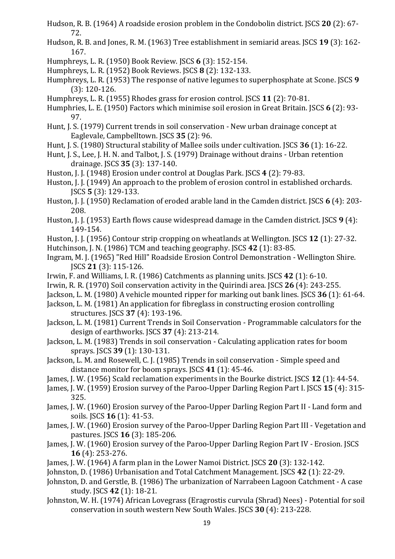- Hudson, R. B. (1964) A roadside erosion problem in the Condobolin district. JSCS **20** (2): 67- 72.
- Hudson, R. B. and Jones, R. M. (1963) Tree establishment in semiarid areas. JSCS **19** (3): 162- 167.
- Humphreys, L. R. (1950) Book Review. JSCS **6** (3): 152-154.
- Humphreys, L. R. (1952) Book Reviews. JSCS **8** (2): 132-133.
- Humphreys, L. R. (1953) The response of native legumes to superphosphate at Scone. JSCS **9**  (3): 120-126.
- Humphreys, L. R. (1955) Rhodes grass for erosion control. JSCS **11** (2): 70-81.
- Humphries, L. E. (1950) Factors which minimise soil erosion in Great Britain. JSCS **6** (2): 93- 97.
- Hunt, J. S. (1979) Current trends in soil conservation New urban drainage concept at Eaglevale, Campbelltown. JSCS **35** (2): 96.
- Hunt, J. S. (1980) Structural stability of Mallee soils under cultivation. JSCS **36** (1): 16-22.
- Hunt, J. S., Lee, J. H. N. and Talbot, J. S. (1979) Drainage without drains Urban retention drainage. JSCS **35** (3): 137-140.
- Huston, J. J. (1948) Erosion under control at Douglas Park. JSCS **4** (2): 79-83.
- Huston, J. J. (1949) An approach to the problem of erosion control in established orchards. JSCS **5** (3): 129-133.
- Huston, J. J. (1950) Reclamation of eroded arable land in the Camden district. JSCS **6** (4): 203- 208.
- Huston, J. J. (1953) Earth flows cause widespread damage in the Camden district. JSCS **9** (4): 149-154.
- Huston, J. J. (1956) Contour strip cropping on wheatlands at Wellington. JSCS **12** (1): 27-32.
- Hutchinson, J. N. (1986) TCM and teaching geography. JSCS **42** (1): 83-85.
- Ingram, M. J. (1965) "Red Hill" Roadside Erosion Control Demonstration Wellington Shire. JSCS **21** (3): 115-126.
- Irwin, F. and Williams, I. R. (1986) Catchments as planning units. JSCS **42** (1): 6-10.
- Irwin, R. R. (1970) Soil conservation activity in the Quirindi area. JSCS **26** (4): 243-255.
- Jackson, L. M. (1980) A vehicle mounted ripper for marking out bank lines. JSCS **36** (1): 61-64.
- Jackson, L. M. (1981) An application for fibreglass in constructing erosion controlling structures. JSCS **37** (4): 193-196.
- Jackson, L. M. (1981) Current Trends in Soil Conservation Programmable calculators for the design of earthworks. JSCS **37** (4): 213-214.
- Jackson, L. M. (1983) Trends in soil conservation Calculating application rates for boom sprays. JSCS **39** (1): 130-131.
- Jackson, L. M. and Rosewell, C. J. (1985) Trends in soil conservation Simple speed and distance monitor for boom sprays. JSCS **41** (1): 45-46.
- James, J. W. (1956) Scald reclamation experiments in the Bourke district. JSCS **12** (1): 44-54.
- James, J. W. (1959) Erosion survey of the Paroo-Upper Darling Region Part I. JSCS **15** (4): 315- 325.
- James, J. W. (1960) Erosion survey of the Paroo-Upper Darling Region Part II Land form and soils. JSCS **16** (1): 41-53.
- James, J. W. (1960) Erosion survey of the Paroo-Upper Darling Region Part III Vegetation and pastures. JSCS **16** (3): 185-206.
- James, J. W. (1960) Erosion survey of the Paroo-Upper Darling Region Part IV Erosion. JSCS **16** (4): 253-276.
- James, J. W. (1964) A farm plan in the Lower Namoi District. JSCS **20** (3): 132-142.
- Johnston, D. (1986) Urbanisation and Total Catchment Management. JSCS **42** (1): 22-29.
- Johnston, D. and Gerstle, B. (1986) The urbanization of Narrabeen Lagoon Catchment A case study. JSCS **42** (1): 18-21.
- Johnston, W. H. (1974) African Lovegrass (Eragrostis curvula (Shrad) Nees) Potential for soil conservation in south western New South Wales. JSCS **30** (4): 213-228.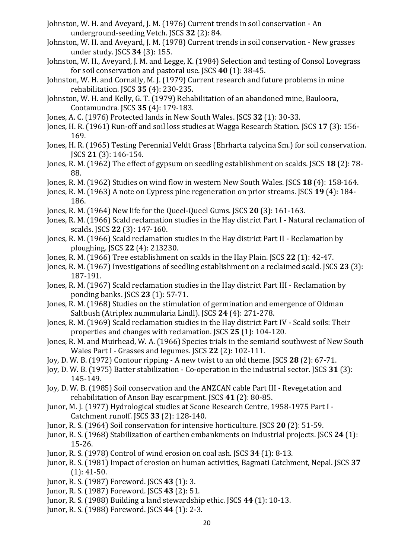- Johnston, W. H. and Aveyard, J. M. (1976) Current trends in soil conservation An underground-seeding Vetch. JSCS **32** (2): 84.
- Johnston, W. H. and Aveyard, J. M. (1978) Current trends in soil conservation New grasses under study. JSCS **34** (3): 155.
- Johnston, W. H., Aveyard, J. M. and Legge, K. (1984) Selection and testing of Consol Lovegrass for soil conservation and pastoral use. JSCS **40** (1): 38-45.
- Johnston, W. H. and Cornally, M. J. (1979) Current research and future problems in mine rehabilitation. JSCS **35** (4): 230-235.
- Johnston, W. H. and Kelly, G. T. (1979) Rehabilitation of an abandoned mine, Bauloora, Cootamundra. JSCS **35** (4): 179-183.
- Jones, A. C. (1976) Protected lands in New South Wales. JSCS **32** (1): 30-33.
- Jones, H. R. (1961) Run-off and soil loss studies at Wagga Research Station. JSCS **17** (3): 156- 169.
- Jones, H. R. (1965) Testing Perennial Veldt Grass (Ehrharta calycina Sm.) for soil conservation. JSCS **21** (3): 146-154.
- Jones, R. M. (1962) The effect of gypsum on seedling establishment on scalds. JSCS **18** (2): 78- 88.
- Jones, R. M. (1962) Studies on wind flow in western New South Wales. JSCS **18** (4): 158-164.
- Jones, R. M. (1963) A note on Cypress pine regeneration on prior streams. JSCS **19** (4): 184- 186.
- Jones, R. M. (1964) New life for the Queel-Queel Gums. JSCS **20** (3): 161-163.
- Jones, R. M. (1966) Scald reclamation studies in the Hay district Part I Natural reclamation of scalds. JSCS **22** (3): 147-160.
- Jones, R. M. (1966) Scald reclamation studies in the Hay district Part II Reclamation by ploughing. JSCS **22** (4): 213230.
- Jones, R. M. (1966) Tree establishment on scalds in the Hay Plain. JSCS **22** (1): 42-47.
- Jones, R. M. (1967) Investigations of seedling establishment on a reclaimed scald. JSCS **23** (3): 187-191.
- Jones, R. M. (1967) Scald reclamation studies in the Hay district Part III Reclamation by ponding banks. JSCS **23** (1): 57-71.
- Jones, R. M. (1968) Studies on the stimulation of germination and emergence of Oldman Saltbush (Atriplex nummularia Lindl). JSCS **24** (4): 271-278.
- Jones, R. M. (1969) Scald reclamation studies in the Hay district Part IV Scald soils: Their properties and changes with reclamation. JSCS **25** (1): 104-120.
- Jones, R. M. and Muirhead, W. A. (1966) Species trials in the semiarid southwest of New South Wales Part I - Grasses and legumes. JSCS **22** (2): 102-111.
- Joy, D. W. B. (1972) Contour ripping A new twist to an old theme. JSCS **28** (2): 67-71.
- Joy, D. W. B. (1975) Batter stabilization Co-operation in the industrial sector. JSCS **31** (3): 145-149.
- Joy, D. W. B. (1985) Soil conservation and the ANZCAN cable Part III Revegetation and rehabilitation of Anson Bay escarpment. JSCS **41** (2): 80-85.
- Junor, M. J. (1977) Hydrological studies at Scone Research Centre, 1958-1975 Part I Catchment runoff. JSCS **33** (2): 128-140.
- Junor, R. S. (1964) Soil conservation for intensive horticulture. JSCS **20** (2): 51-59.
- Junor, R. S. (1968) Stabilization of earthen embankments on industrial projects. JSCS **24** (1): 15-26.
- Junor, R. S. (1978) Control of wind erosion on coal ash. JSCS **34** (1): 8-13.
- Junor, R. S. (1981) Impact of erosion on human activities, Bagmati Catchment, Nepal. JSCS **37**  (1): 41-50.
- Junor, R. S. (1987) Foreword. JSCS **43** (1): 3.
- Junor, R. S. (1987) Foreword. JSCS **43** (2): 51.
- Junor, R. S. (1988) Building a land stewardship ethic. JSCS **44** (1): 10-13.
- Junor, R. S. (1988) Foreword. JSCS **44** (1): 2-3.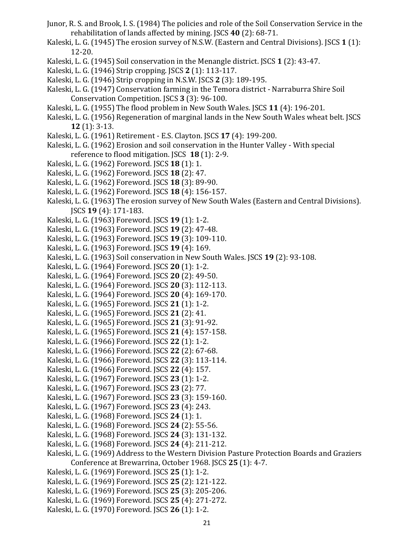- Junor, R. S. and Brook, I. S. (1984) The policies and role of the Soil Conservation Service in the rehabilitation of lands affected by mining. JSCS **40** (2): 68-71.
- Kaleski, L. G. (1945) The erosion survey of N.S.W. (Eastern and Central Divisions). JSCS **1** (1): 12-20.
- Kaleski, L. G. (1945) Soil conservation in the Menangle district. JSCS **1** (2): 43-47.
- Kaleski, L. G. (1946) Strip cropping. JSCS **2** (1): 113-117.
- Kaleski, L. G. (1946) Strip cropping in N.S.W. JSCS **2** (3): 189-195.
- Kaleski, L. G. (1947) Conservation farming in the Temora district Narraburra Shire Soil Conservation Competition. JSCS **3** (3): 96-100.
- Kaleski, L. G. (1955) The flood problem in New South Wales. JSCS **11** (4): 196-201.
- Kaleski, L. G. (1956) Regeneration of marginal lands in the New South Wales wheat belt. JSCS **12** (1): 3-13.
- Kaleski, L. G. (1961) Retirement E.S. Clayton. JSCS **17** (4): 199-200.
- Kaleski, L. G. (1962) Erosion and soil conservation in the Hunter Valley With special reference to flood mitigation. JSCS **18** (1): 2-9.
- Kaleski, L. G. (1962) Foreword. JSCS **18** (1): 1.
- Kaleski, L. G. (1962) Foreword. JSCS **18** (2): 47.
- Kaleski, L. G. (1962) Foreword. JSCS **18** (3): 89-90.
- Kaleski, L. G. (1962) Foreword. JSCS **18** (4): 156-157.
- Kaleski, L. G. (1963) The erosion survey of New South Wales (Eastern and Central Divisions). JSCS **19** (4): 171-183.
- Kaleski, L. G. (1963) Foreword. JSCS **19** (1): 1-2.
- Kaleski, L. G. (1963) Foreword. JSCS **19** (2): 47-48.
- Kaleski, L. G. (1963) Foreword. JSCS **19** (3): 109-110.
- Kaleski, L. G. (1963) Foreword. JSCS **19** (4): 169.
- Kaleski, L. G. (1963) Soil conservation in New South Wales. JSCS **19** (2): 93-108.
- Kaleski, L. G. (1964) Foreword. JSCS **20** (1): 1-2.
- Kaleski, L. G. (1964) Foreword. JSCS **20** (2): 49-50.
- Kaleski, L. G. (1964) Foreword. JSCS **20** (3): 112-113.
- Kaleski, L. G. (1964) Foreword. JSCS **20** (4): 169-170.
- Kaleski, L. G. (1965) Foreword. JSCS **21** (1): 1-2.
- Kaleski, L. G. (1965) Foreword. JSCS **21** (2): 41.
- Kaleski, L. G. (1965) Foreword. JSCS **21** (3): 91-92.
- Kaleski, L. G. (1965) Foreword. JSCS **21** (4): 157-158.
- Kaleski, L. G. (1966) Foreword. JSCS **22** (1): 1-2.
- Kaleski, L. G. (1966) Foreword. JSCS **22** (2): 67-68.
- Kaleski, L. G. (1966) Foreword. JSCS **22** (3): 113-114.
- Kaleski, L. G. (1966) Foreword. JSCS **22** (4): 157.
- Kaleski, L. G. (1967) Foreword. JSCS **23** (1): 1-2.
- Kaleski, L. G. (1967) Foreword. JSCS **23** (2): 77.
- Kaleski, L. G. (1967) Foreword. JSCS **23** (3): 159-160.
- Kaleski, L. G. (1967) Foreword. JSCS **23** (4): 243.
- Kaleski, L. G. (1968) Foreword. JSCS **24** (1): 1.
- Kaleski, L. G. (1968) Foreword. JSCS **24** (2): 55-56.
- Kaleski, L. G. (1968) Foreword. JSCS **24** (3): 131-132.
- Kaleski, L. G. (1968) Foreword. JSCS **24** (4): 211-212.
- Kaleski, L. G. (1969) Address to the Western Division Pasture Protection Boards and Graziers Conference at Brewarrina, October 1968. JSCS **25** (1): 4-7.
- Kaleski, L. G. (1969) Foreword. JSCS **25** (1): 1-2.
- Kaleski, L. G. (1969) Foreword. JSCS **25** (2): 121-122.
- Kaleski, L. G. (1969) Foreword. JSCS **25** (3): 205-206.
- Kaleski, L. G. (1969) Foreword. JSCS **25** (4): 271-272.
- Kaleski, L. G. (1970) Foreword. JSCS **26** (1): 1-2.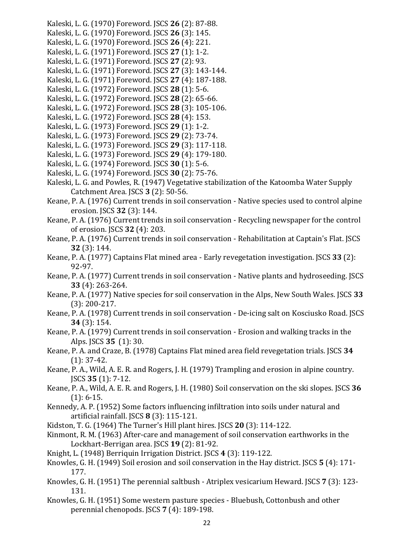- Kaleski, L. G. (1970) Foreword. JSCS **26** (2): 87-88.
- Kaleski, L. G. (1970) Foreword. JSCS **26** (3): 145.
- Kaleski, L. G. (1970) Foreword. JSCS **26** (4): 221.
- Kaleski, L. G. (1971) Foreword. JSCS **27** (1): 1-2.
- Kaleski, L. G. (1971) Foreword. JSCS **27** (2): 93.
- Kaleski, L. G. (1971) Foreword. JSCS **27** (3): 143-144.
- Kaleski, L. G. (1971) Foreword. JSCS **27** (4): 187-188.
- Kaleski, L. G. (1972) Foreword. JSCS **28** (1): 5-6.
- Kaleski, L. G. (1972) Foreword. JSCS **28** (2): 65-66.
- Kaleski, L. G. (1972) Foreword. JSCS **28** (3): 105-106.
- Kaleski, L. G. (1972) Foreword. JSCS **28** (4): 153.
- Kaleski, L. G. (1973) Foreword. JSCS **29** (1): 1-2.
- Kaleski, L. G. (1973) Foreword. JSCS **29** (2): 73-74.
- Kaleski, L. G. (1973) Foreword. JSCS **29** (3): 117-118.
- Kaleski, L. G. (1973) Foreword. JSCS **29** (4): 179-180.
- Kaleski, L. G. (1974) Foreword. JSCS **30** (1): 5-6.
- Kaleski, L. G. (1974) Foreword. JSCS **30** (2): 75-76.
- Kaleski, L. G. and Powles, R. (1947) Vegetative stabilization of the Katoomba Water Supply Catchment Area. JSCS **3** (2): 50-56.
- Keane, P. A. (1976) Current trends in soil conservation Native species used to control alpine erosion. JSCS **32** (3): 144.
- Keane, P. A. (1976) Current trends in soil conservation Recycling newspaper for the control of erosion. JSCS **32** (4): 203.
- Keane, P. A. (1976) Current trends in soil conservation Rehabilitation at Captain's Flat. JSCS **32** (3): 144.
- Keane, P. A. (1977) Captains Flat mined area Early revegetation investigation. JSCS **33** (2): 92-97.
- Keane, P. A. (1977) Current trends in soil conservation Native plants and hydroseeding. JSCS **33** (4): 263-264.
- Keane, P. A. (1977) Native species for soil conservation in the Alps, New South Wales. JSCS **33**  (3): 200-217.
- Keane, P. A. (1978) Current trends in soil conservation De-icing salt on Kosciusko Road. JSCS **34** (3): 154.
- Keane, P. A. (1979) Current trends in soil conservation Erosion and walking tracks in the Alps. JSCS **35** (1): 30.
- Keane, P. A. and Craze, B. (1978) Captains Flat mined area field revegetation trials. JSCS **34**  (1): 37-42.
- Keane, P. A., Wild, A. E. R. and Rogers, J. H. (1979) Trampling and erosion in alpine country. JSCS **35** (1): 7-12.
- Keane, P. A., Wild, A. E. R. and Rogers, J. H. (1980) Soil conservation on the ski slopes. JSCS **36**  (1): 6-15.
- Kennedy, A. P. (1952) Some factors influencing infiltration into soils under natural and artificial rainfall. JSCS **8** (3): 115-121.
- Kidston, T. G. (1964) The Turner's Hill plant hires. JSCS **20** (3): 114-122.
- Kinmont, R. M. (1963) After-care and management of soil conservation earthworks in the Lockhart-Berrigan area. JSCS **19** (2): 81-92.
- Knight, L. (1948) Berriquin Irrigation District. JSCS **4** (3): 119-122.
- Knowles, G. H. (1949) Soil erosion and soil conservation in the Hay district. JSCS **5** (4): 171- 177.
- Knowles, G. H. (1951) The perennial saltbush Atriplex vesicarium Heward. JSCS **7** (3): 123- 131.
- Knowles, G. H. (1951) Some western pasture species Bluebush, Cottonbush and other perennial chenopods. JSCS **7** (4): 189-198.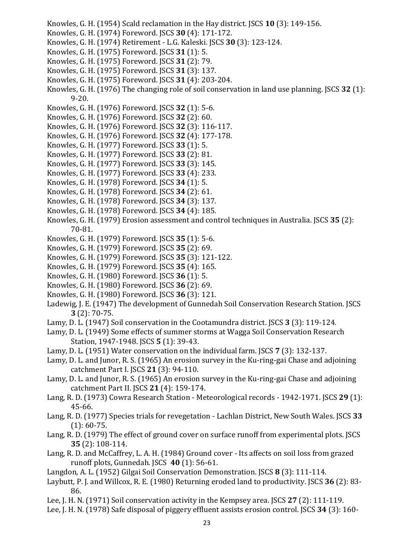- Knowles, G. H. (1954) Scald reclamation in the Hay district. JSCS **10** (3): 149-156.
- Knowles, G. H. (1974) Foreword. JSCS **30** (4): 171-172.
- Knowles, G. H. (1974) Retirement L.G. Kaleski. JSCS **30** (3): 123-124.
- Knowles, G. H. (1975) Foreword. JSCS **31** (1): 5.
- Knowles, G. H. (1975) Foreword. JSCS **31** (2): 79.
- Knowles, G. H. (1975) Foreword. JSCS **31** (3): 137.
- Knowles, G. H. (1975) Foreword. JSCS **31** (4): 203-204.
- Knowles, G. H. (1976) The changing role of soil conservation in land use planning. JSCS **32** (1): 9-20.
- Knowles, G. H. (1976) Foreword. JSCS **32** (1): 5-6.
- Knowles, G. H. (1976) Foreword. JSCS **32** (2): 60.
- Knowles, G. H. (1976) Foreword. JSCS **32** (3): 116-117.
- Knowles, G. H. (1976) Foreword. JSCS **32** (4): 177-178.
- Knowles, G. H. (1977) Foreword. JSCS **33** (1): 5.
- Knowles, G. H. (1977) Foreword. JSCS **33** (2): 81.
- Knowles, G. H. (1977) Foreword. JSCS **33** (3): 145.
- Knowles, G. H. (1977) Foreword. JSCS **33** (4): 233.
- Knowles, G. H. (1978) Foreword. JSCS **34** (1): 5.
- Knowles, G. H. (1978) Foreword. JSCS **34** (2): 61.
- Knowles, G. H. (1978) Foreword. JSCS **34** (3): 137.
- Knowles, G. H. (1978) Foreword. JSCS **34** (4): 185.
- Knowles, G. H. (1979) Erosion assessment and control techniques in Australia. JSCS **35** (2): 70-81.
- Knowles, G. H. (1979) Foreword. JSCS **35** (1): 5-6.
- Knowles, G. H. (1979) Foreword. JSCS **35** (2): 69.
- Knowles, G. H. (1979) Foreword. JSCS **35** (3): 121-122.
- Knowles, G. H. (1979) Foreword. JSCS **35** (4): 165.
- Knowles, G. H. (1980) Foreword. JSCS **36** (1): 5.
- Knowles, G. H. (1980) Foreword. JSCS **36** (2): 69.
- Knowles, G. H. (1980) Foreword. JSCS **36** (3): 121.
- Ladewig, J. E. (1947) The development of Gunnedah Soil Conservation Research Station. JSCS **3** (2): 70-75.
- Lamy, D. L. (1947) Soil conservation in the Cootamundra district. JSCS **3** (3): 119-124.
- Lamy, D. L. (1949) Some effects of summer storms at Wagga Soil Conservation Research Station, 1947-1948. JSCS **5** (1): 39-43.
- Lamy, D. L. (1951) Water conservation on the individual farm. JSCS **7** (3): 132-137.
- Lamy, D. L. and Junor, R. S. (1965) An erosion survey in the Ku-ring-gai Chase and adjoining catchment Part I. JSCS **21** (3): 94-110.
- Lamy, D. L. and Junor, R. S. (1965) An erosion survey in the Ku-ring-gai Chase and adjoining catchment Part II. JSCS **21** (4): 159-174.
- Lang, R. D. (1973) Cowra Research Station Meteorological records 1942-1971. JSCS **29** (1): 45-66.
- Lang, R. D. (1977) Species trials for revegetation Lachlan District, New South Wales. JSCS **33**  (1): 60-75.
- Lang, R. D. (1979) The effect of ground cover on surface runoff from experimental plots. JSCS **35** (2): 108-114.
- Lang, R. D. and McCaffrey, L. A. H. (1984) Ground cover Its affects on soil loss from grazed runoff plots, Gunnedah. JSCS **40** (1): 56-61.
- Langdon, A. L. (1952) Gilgai Soil Conservation Demonstration. JSCS **8** (3): 111-114.
- Laybutt, P. J. and Willcox, R. E. (1980) Returning eroded land to productivity. JSCS **36** (2): 83- 86.
- Lee, J. H. N. (1971) Soil conservation activity in the Kempsey area. JSCS **27** (2): 111-119.
- Lee, J. H. N. (1978) Safe disposal of piggery effluent assists erosion control. JSCS **34** (3): 160-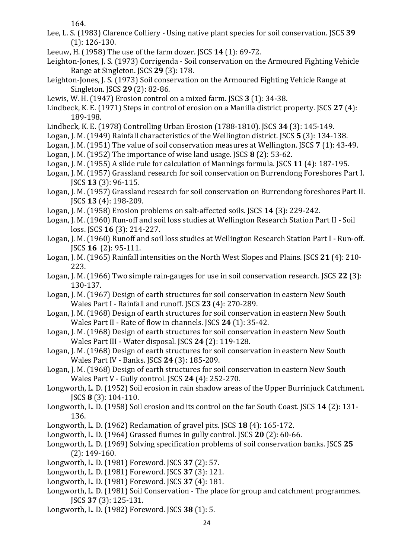164.

- Lee, L. S. (1983) Clarence Colliery Using native plant species for soil conservation. JSCS **39**  (1): 126-130.
- Leeuw, H. (1958) The use of the farm dozer. JSCS **14** (1): 69-72.
- Leighton-Jones, J. S. (1973) Corrigenda Soil conservation on the Armoured Fighting Vehicle Range at Singleton. JSCS **29** (3): 178.
- Leighton-Jones, J. S. (1973) Soil conservation on the Armoured Fighting Vehicle Range at Singleton. JSCS **29** (2): 82-86.
- Lewis, W. H. (1947) Erosion control on a mixed farm. JSCS **3** (1): 34-38.
- Lindbeck, K. E. (1971) Steps in control of erosion on a Manilla district property. JSCS **27** (4): 189-198.
- Lindbeck, K. E. (1978) Controlling Urban Erosion (1788-1810). JSCS **34** (3): 145-149.
- Logan, J. M. (1949) Rainfall characteristics of the Wellington district. JSCS **5** (3): 134-138.
- Logan, J. M. (1951) The value of soil conservation measures at Wellington. JSCS **7** (1): 43-49.
- Logan, J. M. (1952) The importance of wise land usage. JSCS **8** (2): 53-62.
- Logan, J. M. (1955) A slide rule for calculation of Mannings formula. JSCS **11** (4): 187-195.
- Logan, J. M. (1957) Grassland research for soil conservation on Burrendong Foreshores Part I. JSCS **13** (3): 96-115.
- Logan, J. M. (1957) Grassland research for soil conservation on Burrendong foreshores Part II. JSCS **13** (4): 198-209.
- Logan, J. M. (1958) Erosion problems on salt-affected soils. JSCS **14** (3): 229-242.
- Logan, J. M. (1960) Run-off and soil loss studies at Wellington Research Station Part II Soil loss. JSCS **16** (3): 214-227.
- Logan, J. M. (1960) Runoff and soil loss studies at Wellington Research Station Part I Run-off. JSCS **16** (2): 95-111.
- Logan, J. M. (1965) Rainfall intensities on the North West Slopes and Plains. JSCS **21** (4): 210- 223.
- Logan, J. M. (1966) Two simple rain-gauges for use in soil conservation research. JSCS **22** (3): 130-137.
- Logan, J. M. (1967) Design of earth structures for soil conservation in eastern New South Wales Part I - Rainfall and runoff. JSCS **23** (4): 270-289.
- Logan, J. M. (1968) Design of earth structures for soil conservation in eastern New South Wales Part II - Rate of flow in channels. JSCS **24** (1): 35-42.
- Logan, J. M. (1968) Design of earth structures for soil conservation in eastern New South Wales Part III - Water disposal. JSCS **24** (2): 119-128.
- Logan, J. M. (1968) Design of earth structures for soil conservation in eastern New South Wales Part IV - Banks. JSCS **24** (3): 185-209.
- Logan, J. M. (1968) Design of earth structures for soil conservation in eastern New South Wales Part V - Gully control. JSCS **24** (4): 252-270.
- Longworth, L. D. (1952) Soil erosion in rain shadow areas of the Upper Burrinjuck Catchment. JSCS **8** (3): 104-110.
- Longworth, L. D. (1958) Soil erosion and its control on the far South Coast. JSCS **14** (2): 131- 136.
- Longworth, L. D. (1962) Reclamation of gravel pits. JSCS **18** (4): 165-172.
- Longworth, L. D. (1964) Grassed flumes in gully control. JSCS **20** (2): 60-66.
- Longworth, L. D. (1969) Solving specification problems of soil conservation banks. JSCS **25**  (2): 149-160.
- Longworth, L. D. (1981) Foreword. JSCS **37** (2): 57.
- Longworth, L. D. (1981) Foreword. JSCS **37** (3): 121.
- Longworth, L. D. (1981) Foreword. JSCS **37** (4): 181.
- Longworth, L. D. (1981) Soil Conservation The place for group and catchment programmes. JSCS **37** (3): 125-131.
- Longworth, L. D. (1982) Foreword. JSCS **38** (1): 5.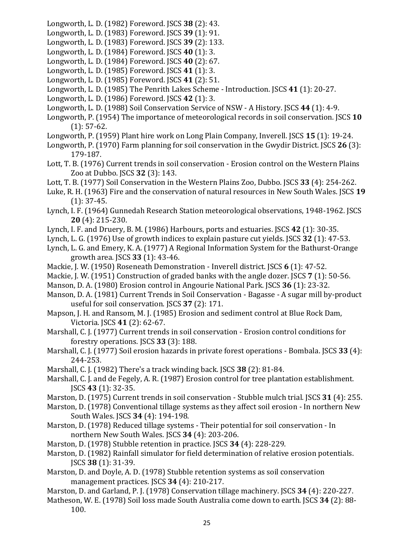- Longworth, L. D. (1982) Foreword. JSCS **38** (2): 43.
- Longworth, L. D. (1983) Foreword. JSCS **39** (1): 91.
- Longworth, L. D. (1983) Foreword. JSCS **39** (2): 133.
- Longworth, L. D. (1984) Foreword. JSCS **40** (1): 3.
- Longworth, L. D. (1984) Foreword. JSCS **40** (2): 67.
- Longworth, L. D. (1985) Foreword. JSCS **41** (1): 3.
- Longworth, L. D. (1985) Foreword. JSCS **41** (2): 51.
- Longworth, L. D. (1985) The Penrith Lakes Scheme Introduction. JSCS **41** (1): 20-27.
- Longworth, L. D. (1986) Foreword. JSCS **42** (1): 3.
- Longworth, L. D. (1988) Soil Conservation Service of NSW A History. JSCS **44** (1): 4-9.
- Longworth, P. (1954) The importance of meteorological records in soil conservation. JSCS **10**  (1): 57-62.
- Longworth, P. (1959) Plant hire work on Long Plain Company, Inverell. JSCS **15** (1): 19-24.
- Longworth, P. (1970) Farm planning for soil conservation in the Gwydir District. JSCS **26** (3): 179-187.
- Lott, T. B. (1976) Current trends in soil conservation Erosion control on the Western Plains Zoo at Dubbo. JSCS **32** (3): 143.
- Lott, T. B. (1977) Soil Conservation in the Western Plains Zoo, Dubbo. JSCS **33** (4): 254-262.
- Luke, R. H. (1963) Fire and the conservation of natural resources in New South Wales. JSCS **19**  (1): 37-45.
- Lynch, I. F. (1964) Gunnedah Research Station meteorological observations, 1948-1962. JSCS **20** (4): 215-230.
- Lynch, I. F. and Druery, B. M. (1986) Harbours, ports and estuaries. JSCS **42** (1): 30-35.
- Lynch, L. G. (1976) Use of growth indices to explain pasture cut yields. JSCS **32** (1): 47-53.
- Lynch, L. G. and Emery, K. A. (1977) A Regional Information System for the Bathurst-Orange growth area. JSCS **33** (1): 43-46.
- Mackie, J. W. (1950) Roseneath Demonstration Inverell district. JSCS **6** (1): 47-52.
- Mackie, J. W. (1951) Construction of graded banks with the angle dozer. JSCS **7** (1): 50-56.
- Manson, D. A. (1980) Erosion control in Angourie National Park. JSCS **36** (1): 23-32.
- Manson, D. A. (1981) Current Trends in Soil Conservation Bagasse A sugar mill by-product useful for soil conservation. JSCS **37** (2): 171.
- Mapson, J. H. and Ransom, M. J. (1985) Erosion and sediment control at Blue Rock Dam, Victoria. JSCS **41** (2): 62-67.
- Marshall, C. J. (1977) Current trends in soil conservation Erosion control conditions for forestry operations. JSCS **33** (3): 188.
- Marshall, C. J. (1977) Soil erosion hazards in private forest operations Bombala. JSCS **33** (4): 244-253.
- Marshall, C. J. (1982) There's a track winding back. JSCS **38** (2): 81-84.
- Marshall, C. J. and de Fegely, A. R. (1987) Erosion control for tree plantation establishment. JSCS **43** (1): 32-35.
- Marston, D. (1975) Current trends in soil conservation Stubble mulch trial. JSCS **31** (4): 255.
- Marston, D. (1978) Conventional tillage systems as they affect soil erosion In northern New South Wales. JSCS **34** (4): 194-198.
- Marston, D. (1978) Reduced tillage systems Their potential for soil conservation In northern New South Wales. JSCS **34** (4): 203-206.
- Marston, D. (1978) Stubble retention in practice. JSCS **34** (4): 228-229.
- Marston, D. (1982) Rainfall simulator for field determination of relative erosion potentials. JSCS **38** (1): 31-39.
- Marston, D. and Doyle, A. D. (1978) Stubble retention systems as soil conservation management practices. JSCS **34** (4): 210-217.
- Marston, D. and Garland, P. J. (1978) Conservation tillage machinery. JSCS **34** (4): 220-227.
- Matheson, W. E. (1978) Soil loss made South Australia come down to earth. JSCS **34** (2): 88- 100.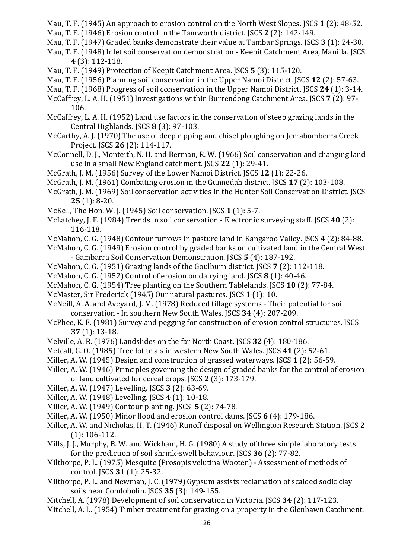- Mau, T. F. (1945) An approach to erosion control on the North West Slopes. JSCS **1** (2): 48-52.
- Mau, T. F. (1946) Erosion control in the Tamworth district. JSCS **2** (2): 142-149.
- Mau, T. F. (1947) Graded banks demonstrate their value at Tambar Springs. JSCS **3** (1): 24-30.
- Mau, T. F. (1948) Inlet soil conservation demonstration Keepit Catchment Area, Manilla. JSCS **4** (3): 112-118.
- Mau, T. F. (1949) Protection of Keepit Catchment Area. JSCS **5** (3): 115-120.
- Mau, T. F. (1956) Planning soil conservation in the Upper Namoi District. JSCS **12** (2): 57-63.
- Mau, T. F. (1968) Progress of soil conservation in the Upper Namoi District. JSCS **24** (1): 3-14.
- McCaffrey, L. A. H. (1951) Investigations within Burrendong Catchment Area. JSCS **7** (2): 97- 106.
- McCaffrey, L. A. H. (1952) Land use factors in the conservation of steep grazing lands in the Central Highlands. JSCS **8** (3): 97-103.
- McCarthy, A. J. (1970) The use of deep ripping and chisel ploughing on Jerrabomberra Creek Project. JSCS **26** (2): 114-117.
- McConnell, D. J., Monteith, N. H. and Berman, R. W. (1966) Soil conservation and changing land use in a small New England catchment. JSCS **22** (1): 29-41.
- McGrath, J. M. (1956) Survey of the Lower Namoi District. JSCS **12** (1): 22-26.
- McGrath, J. M. (1961) Combating erosion in the Gunnedah district. JSCS **17** (2): 103-108.
- McGrath, J. M. (1969) Soil conservation activities in the Hunter Soil Conservation District. JSCS **25** (1): 8-20.
- McKell, The Hon. W. J. (1945) Soil conservation. JSCS **1** (1): 5-7.
- McLatchey, J. F. (1984) Trends in soil conservation Electronic surveying staff. JSCS **40** (2): 116-118.
- McMahon, C. G. (1948) Contour furrows in pasture land in Kangaroo Valley. JSCS **4** (2): 84-88.
- McMahon, C. G. (1949) Erosion control by graded banks on cultivated land in the Central West - Gambarra Soil Conservation Demonstration. JSCS **5** (4): 187-192.
- McMahon, C. G. (1951) Grazing lands of the Goulburn district. JSCS **7** (2): 112-118.
- McMahon, C. G. (1952) Control of erosion on dairying land. JSCS **8** (1): 40-46.
- McMahon, C. G. (1954) Tree planting on the Southern Tablelands. JSCS **10** (2): 77-84.
- McMaster, Sir Frederick (1945) Our natural pastures. JSCS **1** (1): 10.
- McNeill, A. A. and Aveyard, J. M. (1978) Reduced tillage systems Their potential for soil conservation - In southern New South Wales. JSCS **34** (4): 207-209.
- McPhee, K. E. (1981) Survey and pegging for construction of erosion control structures. JSCS **37** (1): 13-18.
- Melville, A. R. (1976) Landslides on the far North Coast. JSCS **32** (4): 180-186.
- Metcalf, G. O. (1985) Tree lot trials in western New South Wales. JSCS **41** (2): 52-61.
- Miller, A. W. (1945) Design and construction of grassed waterways. JSCS **1** (2): 56-59.
- Miller, A. W. (1946) Principles governing the design of graded banks for the control of erosion of land cultivated for cereal crops. JSCS **2** (3): 173-179.
- Miller, A. W. (1947) Levelling. JSCS **3** (2): 63-69.
- Miller, A. W. (1948) Levelling. JSCS **4** (1): 10-18.
- Miller, A. W. (1949) Contour planting. JSCS **5** (2): 74-78.
- Miller, A. W. (1950) Minor flood and erosion control dams. JSCS **6** (4): 179-186.
- Miller, A. W. and Nicholas, H. T. (1946) Runoff disposal on Wellington Research Station. JSCS **2**  (1): 106-112.
- Mills, J. J., Murphy, B. W. and Wickham, H. G. (1980) A study of three simple laboratory tests for the prediction of soil shrink-swell behaviour. JSCS **36** (2): 77-82.
- Milthorpe, P. L. (1975) Mesquite (Prosopis velutina Wooten) Assessment of methods of control. JSCS **31** (1): 25-32.
- Milthorpe, P. L. and Newman, J. C. (1979) Gypsum assists reclamation of scalded sodic clay soils near Condobolin. JSCS **35** (3): 149-155.
- Mitchell, A. (1978) Development of soil conservation in Victoria. JSCS **34** (2): 117-123.
- Mitchell, A. L. (1954) Timber treatment for grazing on a property in the Glenbawn Catchment.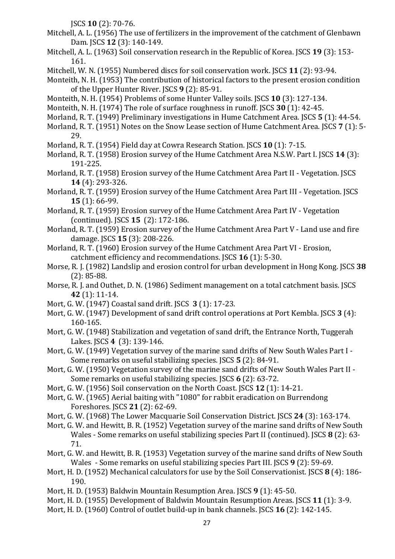JSCS **10** (2): 70-76.

- Mitchell, A. L. (1956) The use of fertilizers in the improvement of the catchment of Glenbawn Dam. JSCS **12** (3): 140-149.
- Mitchell, A. L. (1963) Soil conservation research in the Republic of Korea. JSCS **19** (3): 153- 161.
- Mitchell, W. N. (1955) Numbered discs for soil conservation work. JSCS **11** (2): 93-94.
- Monteith, N. H. (1953) The contribution of historical factors to the present erosion condition of the Upper Hunter River. JSCS **9** (2): 85-91.
- Monteith, N. H. (1954) Problems of some Hunter Valley soils. JSCS **10** (3): 127-134.
- Monteith, N. H. (1974) The role of surface roughness in runoff. JSCS **30** (1): 42-45.
- Morland, R. T. (1949) Preliminary investigations in Hume Catchment Area. JSCS **5** (1): 44-54.
- Morland, R. T. (1951) Notes on the Snow Lease section of Hume Catchment Area. JSCS **7** (1): 5- 29.
- Morland, R. T. (1954) Field day at Cowra Research Station. JSCS **10** (1): 7-15.
- Morland, R. T. (1958) Erosion survey of the Hume Catchment Area N.S.W. Part I. JSCS **14** (3): 191-225.
- Morland, R. T. (1958) Erosion survey of the Hume Catchment Area Part II Vegetation. JSCS **14** (4): 293-326.
- Morland, R. T. (1959) Erosion survey of the Hume Catchment Area Part III Vegetation. JSCS **15** (1): 66-99.
- Morland, R. T. (1959) Erosion survey of the Hume Catchment Area Part IV Vegetation (continued). JSCS **15** (2): 172-186.
- Morland, R. T. (1959) Erosion survey of the Hume Catchment Area Part V Land use and fire damage. JSCS **15** (3): 208-226.
- Morland, R. T. (1960) Erosion survey of the Hume Catchment Area Part VI Erosion, catchment efficiency and recommendations. JSCS **16** (1): 5-30.
- Morse, R. J. (1982) Landslip and erosion control for urban development in Hong Kong. JSCS **38**  (2): 85-88.
- Morse, R. J. and Outhet, D. N. (1986) Sediment management on a total catchment basis. JSCS **42** (1): 11-14.
- Mort, G. W. (1947) Coastal sand drift. JSCS **3** (1): 17-23.
- Mort, G. W. (1947) Development of sand drift control operations at Port Kembla. JSCS **3** (4): 160-165.
- Mort, G. W. (1948) Stabilization and vegetation of sand drift, the Entrance North, Tuggerah Lakes. JSCS **4** (3): 139-146.
- Mort, G. W. (1949) Vegetation survey of the marine sand drifts of New South Wales Part I Some remarks on useful stabilizing species. JSCS **5** (2): 84-91.
- Mort, G. W. (1950) Vegetation survey of the marine sand drifts of New South Wales Part II Some remarks on useful stabilizing species. JSCS **6** (2): 63-72.
- Mort, G. W. (1956) Soil conservation on the North Coast. JSCS **12** (1): 14-21.
- Mort, G. W. (1965) Aerial baiting with "1080" for rabbit eradication on Burrendong Foreshores. JSCS **21** (2): 62-69.
- Mort, G. W. (1968) The Lower Macquarie Soil Conservation District. JSCS **24** (3): 163-174.
- Mort, G. W. and Hewitt, B. R. (1952) Vegetation survey of the marine sand drifts of New South Wales - Some remarks on useful stabilizing species Part II (continued). JSCS **8** (2): 63- 71.
- Mort, G. W. and Hewitt, B. R. (1953) Vegetation survey of the marine sand drifts of New South Wales - Some remarks on useful stabilizing species Part III. JSCS **9** (2): 59-69.
- Mort, H. D. (1952) Mechanical calculators for use by the Soil Conservationist. JSCS **8** (4): 186- 190.
- Mort, H. D. (1953) Baldwin Mountain Resumption Area. JSCS **9** (1): 45-50.
- Mort, H. D. (1955) Development of Baldwin Mountain Resumption Areas. JSCS **11** (1): 3-9.
- Mort, H. D. (1960) Control of outlet build-up in bank channels. JSCS **16** (2): 142-145.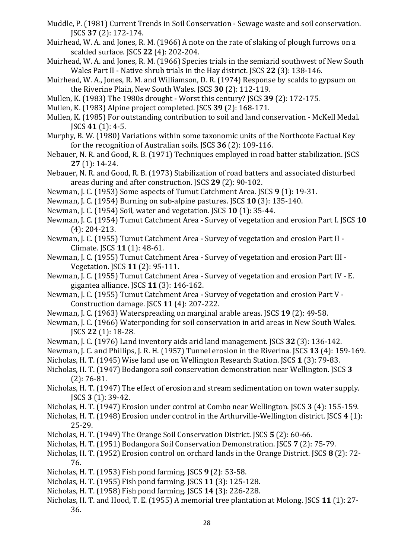- Muddle, P. (1981) Current Trends in Soil Conservation Sewage waste and soil conservation. JSCS **37** (2): 172-174.
- Muirhead, W. A. and Jones, R. M. (1966) A note on the rate of slaking of plough furrows on a scalded surface. JSCS **22** (4): 202-204.
- Muirhead, W. A. and Jones, R. M. (1966) Species trials in the semiarid southwest of New South Wales Part II - Native shrub trials in the Hay district. JSCS **22** (3): 138-146.
- Muirhead, W. A., Jones, R. M. and Williamson, D. R. (1974) Response by scalds to gypsum on the Riverine Plain, New South Wales. JSCS **30** (2): 112-119.
- Mullen, K. (1983) The 1980s drought Worst this century? JSCS **39** (2): 172-175.
- Mullen, K. (1983) Alpine project completed. JSCS **39** (2): 168-171.
- Mullen, K. (1985) For outstanding contribution to soil and land conservation McKell Medal. JSCS **41** (1): 4-5.
- Murphy, B. W. (1980) Variations within some taxonomic units of the Northcote Factual Key for the recognition of Australian soils. JSCS **36** (2): 109-116.
- Nebauer, N. R. and Good, R. B. (1971) Techniques employed in road batter stabilization. JSCS **27** (1): 14-24.
- Nebauer, N. R. and Good, R. B. (1973) Stabilization of road batters and associated disturbed areas during and after construction. JSCS **29** (2): 90-102.
- Newman, J. C. (1953) Some aspects of Tumut Catchment Area. JSCS **9** (1): 19-31.
- Newman, J. C. (1954) Burning on sub-alpine pastures. JSCS **10** (3): 135-140.
- Newman, J. C. (1954) Soil, water and vegetation. JSCS **10** (1): 35-44.
- Newman, J. C. (1954) Tumut Catchment Area Survey of vegetation and erosion Part I. JSCS **10**  (4): 204-213.
- Newman, J. C. (1955) Tumut Catchment Area Survey of vegetation and erosion Part II Climate. JSCS **11** (1): 48-61.
- Newman, J. C. (1955) Tumut Catchment Area Survey of vegetation and erosion Part III Vegetation. JSCS **11** (2): 95-111.
- Newman, J. C. (1955) Tumut Catchment Area Survey of vegetation and erosion Part IV E. gigantea alliance. JSCS **11** (3): 146-162.
- Newman, J. C. (1955) Tumut Catchment Area Survey of vegetation and erosion Part V Construction damage. JSCS **11** (4): 207-222.
- Newman, J. C. (1963) Waterspreading on marginal arable areas. JSCS **19** (2): 49-58.
- Newman, J. C. (1966) Waterponding for soil conservation in arid areas in New South Wales. JSCS **22** (1): 18-28.
- Newman, J. C. (1976) Land inventory aids arid land management. JSCS **32** (3): 136-142.
- Newman, J. C. and Phillips, J. R. H. (1957) Tunnel erosion in the Riverina. JSCS **13** (4): 159-169.
- Nicholas, H. T. (1945) Wise land use on Wellington Research Station. JSCS **1** (3): 79-83.
- Nicholas, H. T. (1947) Bodangora soil conservation demonstration near Wellington. JSCS **3**  (2): 76-81.
- Nicholas, H. T. (1947) The effect of erosion and stream sedimentation on town water supply. JSCS **3** (1): 39-42.
- Nicholas, H. T. (1947) Erosion under control at Combo near Wellington. JSCS **3** (4): 155-159.
- Nicholas, H. T. (1948) Erosion under control in the Arthurville-Wellington district. JSCS **4** (1): 25-29.
- Nicholas, H. T. (1949) The Orange Soil Conservation District. JSCS **5** (2): 60-66.
- Nicholas, H. T. (1951) Bodangora Soil Conservation Demonstration. JSCS **7** (2): 75-79.
- Nicholas, H. T. (1952) Erosion control on orchard lands in the Orange District. JSCS **8** (2): 72- 76.
- Nicholas, H. T. (1953) Fish pond farming. JSCS **9** (2): 53-58.
- Nicholas, H. T. (1955) Fish pond farming. JSCS **11** (3): 125-128.
- Nicholas, H. T. (1958) Fish pond farming. JSCS **14** (3): 226-228.
- Nicholas, H. T. and Hood, T. E. (1955) A memorial tree plantation at Molong. JSCS **11** (1): 27- 36.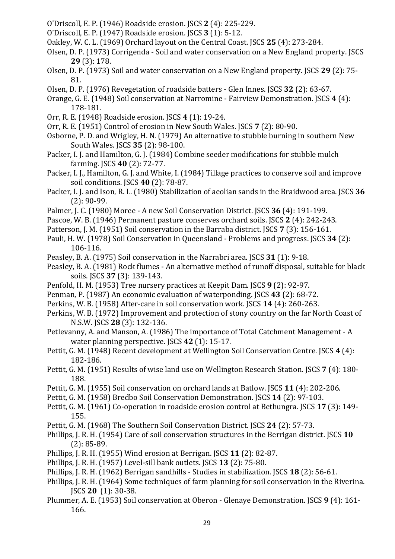- O'Driscoll, E. P. (1946) Roadside erosion. JSCS **2** (4): 225-229.
- O'Driscoll, E. P. (1947) Roadside erosion. JSCS **3** (1): 5-12.
- Oakley, W. C. L. (1969) Orchard layout on the Central Coast. JSCS **25** (4): 273-284.
- Olsen, D. P. (1973) Corrigenda Soil and water conservation on a New England property. JSCS **29** (3): 178.
- Olsen, D. P. (1973) Soil and water conservation on a New England property. JSCS **29** (2): 75- 81.
- Olsen, D. P. (1976) Revegetation of roadside batters Glen Innes. JSCS **32** (2): 63-67.
- Orange, G. E. (1948) Soil conservation at Narromine Fairview Demonstration. JSCS **4** (4): 178-181.
- Orr, R. E. (1948) Roadside erosion. JSCS **4** (1): 19-24.
- Orr, R. E. (1951) Control of erosion in New South Wales. JSCS **7** (2): 80-90.
- Osborne, P. D. and Wrigley, H. N. (1979) An alternative to stubble burning in southern New South Wales. JSCS **35** (2): 98-100.
- Packer, I. J. and Hamilton, G. J. (1984) Combine seeder modifications for stubble mulch farming. JSCS **40** (2): 72-77.
- Packer, I. J., Hamilton, G. J. and White, I. (1984) Tillage practices to conserve soil and improve soil conditions. JSCS **40** (2): 78-87.
- Packer, I. J. and Ison, R. L. (1980) Stabilization of aeolian sands in the Braidwood area. JSCS **36**  (2): 90-99.
- Palmer, J. C. (1980) Moree A new Soil Conservation District. JSCS **36** (4): 191-199.
- Pascoe, W. B. (1946) Permanent pasture conserves orchard soils. JSCS **2** (4): 242-243.
- Patterson, J. M. (1951) Soil conservation in the Barraba district. JSCS **7** (3): 156-161.
- Pauli, H. W. (1978) Soil Conservation in Queensland Problems and progress. JSCS **34** (2): 106-116.
- Peasley, B. A. (1975) Soil conservation in the Narrabri area. JSCS **31** (1): 9-18.
- Peasley, B. A. (1981) Rock flumes An alternative method of runoff disposal, suitable for black soils. JSCS **37** (3): 139-143.
- Penfold, H. M. (1953) Tree nursery practices at Keepit Dam. JSCS **9** (2): 92-97.
- Penman, P. (1987) An economic evaluation of waterponding. JSCS **43** (2): 68-72.
- Perkins, W. B. (1958) After-care in soil conservation work. JSCS **14** (4): 260-263.
- Perkins, W. B. (1972) Improvement and protection of stony country on the far North Coast of N.S.W. JSCS **28** (3): 132-136.
- Petlevanny, A. and Manson, A. (1986) The importance of Total Catchment Management A water planning perspective. JSCS **42** (1): 15-17.
- Pettit, G. M. (1948) Recent development at Wellington Soil Conservation Centre. JSCS **4** (4): 182-186.
- Pettit, G. M. (1951) Results of wise land use on Wellington Research Station. JSCS **7** (4): 180- 188.
- Pettit, G. M. (1955) Soil conservation on orchard lands at Batlow. JSCS **11** (4): 202-206.
- Pettit, G. M. (1958) Bredbo Soil Conservation Demonstration. JSCS **14** (2): 97-103.
- Pettit, G. M. (1961) Co-operation in roadside erosion control at Bethungra. JSCS **17** (3): 149- 155.
- Pettit, G. M. (1968) The Southern Soil Conservation District. JSCS **24** (2): 57-73.
- Phillips, J. R. H. (1954) Care of soil conservation structures in the Berrigan district. JSCS **10**  (2): 85-89.
- Phillips, J. R. H. (1955) Wind erosion at Berrigan. JSCS **11** (2): 82-87.
- Phillips, J. R. H. (1957) Level-sill bank outlets. JSCS **13** (2): 75-80.
- Phillips, J. R. H. (1962) Berrigan sandhills Studies in stabilization. JSCS **18** (2): 56-61.
- Phillips, J. R. H. (1964) Some techniques of farm planning for soil conservation in the Riverina. JSCS **20** (1): 30-38.
- Plummer, A. E. (1953) Soil conservation at Oberon Glenaye Demonstration. JSCS **9** (4): 161- 166.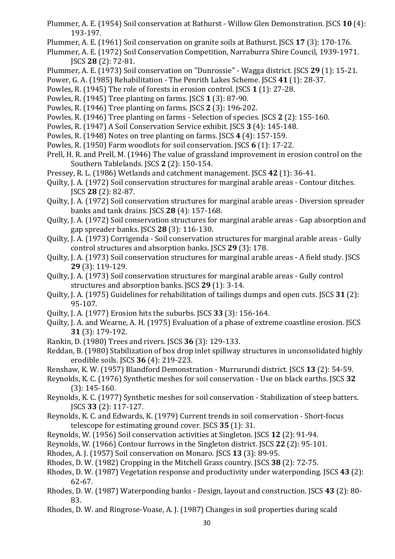- Plummer, A. E. (1954) Soil conservation at Bathurst Willow Glen Demonstration. JSCS **10** (4): 193-197.
- Plummer, A. E. (1961) Soil conservation on granite soils at Bathurst. JSCS **17** (3): 170-176.
- Plummer, A. E. (1972) Soil Conservation Competition, Narraburra Shire Council, 1939-1971. JSCS **28** (2): 72-81.
- Plummer, A. E. (1973) Soil conservation on "Dunrossie" Wagga district. JSCS **29** (1): 15-21.
- Power, G. A. (1985) Rehabilitation The Penrith Lakes Scheme. JSCS **41** (1): 28-37.
- Powles, R. (1945) The role of forests in erosion control. JSCS **1** (1): 27-28.
- Powles, R. (1945) Tree planting on farms. JSCS **1** (3): 87-90.
- Powles, R. (1946) Tree planting on farms. JSCS **2** (3): 196-202.
- Powles, R. (1946) Tree planting on farms Selection of species. JSCS **2** (2): 155-160.
- Powles, R. (1947) A Soil Conservation Service exhibit. JSCS **3** (4): 145-148.
- Powles, R. (1948) Notes on tree planting on farms. JSCS **4** (4): 157-159.
- Powles, R. (1950) Farm woodlots for soil conservation. JSCS **6** (1): 17-22.
- Prell, H. R. and Prell, M. (1946) The value of grassland improvement in erosion control on the Southern Tablelands. JSCS **2** (2): 150-154.
- Pressey, R. L. (1986) Wetlands and catchment management. JSCS **42** (1): 36-41.
- Quilty, J. A. (1972) Soil conservation structures for marginal arable areas Contour ditches. JSCS **28** (2): 82-87.
- Quilty, J. A. (1972) Soil conservation structures for marginal arable areas Diversion spreader banks and tank drains. JSCS **28** (4): 157-168.
- Quilty, J. A. (1972) Soil conservation structures for marginal arable areas Gap absorption and gap spreader banks. JSCS **28** (3): 116-130.
- Quilty, J. A. (1973) Corrigenda Soil conservation structures for marginal arable areas Gully control structures and absorption banks. JSCS **29** (3): 178.
- Quilty, J. A. (1973) Soil conservation structures for marginal arable areas A field study. JSCS **29** (3): 119-129.
- Quilty, J. A. (1973) Soil conservation structures for marginal arable areas Gully control structures and absorption banks. JSCS **29** (1): 3-14.
- Quilty, J. A. (1975) Guidelines for rehabilitation of tailings dumps and open cuts. JSCS **31** (2): 95-107.
- Quilty, J. A. (1977) Erosion hits the suburbs. JSCS **33** (3): 156-164.
- Quilty, J. A. and Wearne, A. H. (1975) Evaluation of a phase of extreme coastline erosion. JSCS **31** (3): 179-192.
- Rankin, D. (1980) Trees and rivers. JSCS **36** (3): 129-133.
- Reddan, B. (1980) Stabilization of box drop inlet spillway structures in unconsolidated highly erodible soils. JSCS **36** (4): 219-223.
- Renshaw, K. W. (1957) Blandford Demonstration Murrurundi district. JSCS **13** (2): 54-59.
- Reynolds, K. C. (1976) Synthetic meshes for soil conservation Use on black earths. JSCS **32**  (3): 145-160.
- Reynolds, K. C. (1977) Synthetic meshes for soil conservation Stabilization of steep batters. JSCS **33** (2): 117-127.
- Reynolds, K. C. and Edwards, K. (1979) Current trends in soil conservation Short-focus telescope for estimating ground cover. JSCS **35** (1): 31.
- Reynolds, W. (1956) Soil conservation activities at Singleton. JSCS **12** (2): 91-94.
- Reynolds, W. (1966) Contour furrows in the Singleton district. JSCS **22** (2): 95-101.
- Rhodes, A. J. (1957) Soil conservation on Monaro. JSCS **13** (3): 89-95.
- Rhodes, D. W. (1982) Cropping in the Mitchell Grass country. JSCS **38** (2): 72-75.
- Rhodes, D. W. (1987) Vegetation response and productivity under waterponding. JSCS **43** (2): 62-67.
- Rhodes, D. W. (1987) Waterponding banks Design, layout and construction. JSCS **43** (2): 80- 83.
- Rhodes, D. W. and Ringrose-Voase, A. J. (1987) Changes in soil properties during scald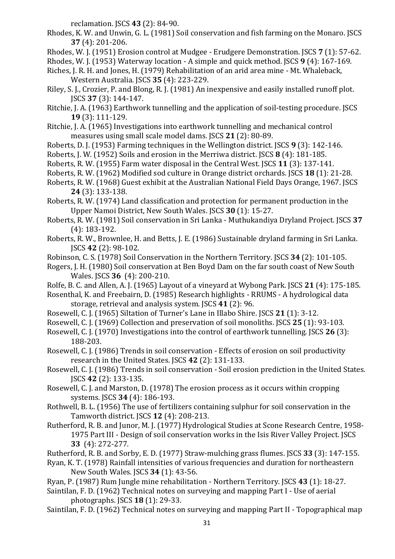reclamation. JSCS **43** (2): 84-90.

- Rhodes, K. W. and Unwin, G. L. (1981) Soil conservation and fish farming on the Monaro. JSCS **37** (4): 201-206.
- Rhodes, W. J. (1951) Erosion control at Mudgee Erudgere Demonstration. JSCS **7** (1): 57-62.
- Rhodes, W. J. (1953) Waterway location A simple and quick method. JSCS **9** (4): 167-169.
- Riches, J. R. H. and Jones, H. (1979) Rehabilitation of an arid area mine Mt. Whaleback, Western Australia. JSCS **35** (4): 223-229.
- Riley, S. J., Crozier, P. and Blong, R. J. (1981) An inexpensive and easily installed runoff plot. JSCS **37** (3): 144-147.
- Ritchie, J. A. (1963) Earthwork tunnelling and the application of soil-testing procedure. JSCS **19** (3): 111-129.
- Ritchie, J. A. (1965) Investigations into earthwork tunnelling and mechanical control measures using small scale model dams. JSCS **21** (2): 80-89.
- Roberts, D. J. (1953) Farming techniques in the Wellington district. JSCS **9** (3): 142-146.
- Roberts, J. W. (1952) Soils and erosion in the Merriwa district. JSCS **8** (4): 181-185.
- Roberts, R. W. (1955) Farm water disposal in the Central West. JSCS **11** (3): 137-141.
- Roberts, R. W. (1962) Modified sod culture in Orange district orchards. JSCS **18** (1): 21-28.
- Roberts, R. W. (1968) Guest exhibit at the Australian National Field Days Orange, 1967. JSCS **24** (3): 133-138.
- Roberts, R. W. (1974) Land classification and protection for permanent production in the Upper Namoi District, New South Wales. JSCS **30** (1): 15-27.
- Roberts, R. W. (1981) Soil conservation in Sri Lanka Muthukandiya Dryland Project. JSCS **37**  (4): 183-192.
- Roberts, R. W., Brownlee, H. and Betts, J. E. (1986) Sustainable dryland farming in Sri Lanka. JSCS **42** (2): 98-102.
- Robinson, C. S. (1978) Soil Conservation in the Northern Territory. JSCS **34** (2): 101-105.
- Rogers, J. H. (1980) Soil conservation at Ben Boyd Dam on the far south coast of New South Wales. JSCS **36** (4): 200-210.
- Rolfe, B. C. and Allen, A. J. (1965) Layout of a vineyard at Wybong Park. JSCS **21** (4): 175-185.
- Rosenthal, K. and Freebairn, D. (1985) Research highlights RRUMS A hydrological data storage, retrieval and analysis system. JSCS **41** (2): 96.
- Rosewell, C. J. (1965) Siltation of Turner's Lane in Illabo Shire. JSCS **21** (1): 3-12.
- Rosewell, C. J. (1969) Collection and preservation of soil monoliths. JSCS **25** (1): 93-103.
- Rosewell, C. J. (1970) Investigations into the control of earthwork tunnelling. JSCS **26** (3): 188-203.
- Rosewell, C. J. (1986) Trends in soil conservation Effects of erosion on soil productivity research in the United States. JSCS **42** (2): 131-133.
- Rosewell, C. J. (1986) Trends in soil conservation Soil erosion prediction in the United States. JSCS **42** (2): 133-135.
- Rosewell, C. J. and Marston, D. (1978) The erosion process as it occurs within cropping systems. JSCS **34** (4): 186-193.
- Rothwell, B. L. (1956) The use of fertilizers containing sulphur for soil conservation in the Tamworth district. JSCS **12** (4): 208-213.
- Rutherford, R. B. and Junor, M. J. (1977) Hydrological Studies at Scone Research Centre, 1958- 1975 Part III - Design of soil conservation works in the Isis River Valley Project. JSCS **33** (4): 272-277.
- Rutherford, R. B. and Sorby, E. D. (1977) Straw-mulching grass flumes. JSCS **33** (3): 147-155.
- Ryan, K. T. (1978) Rainfall intensities of various frequencies and duration for northeastern New South Wales. JSCS **34** (1): 43-56.
- Ryan, P. (1987) Rum Jungle mine rehabilitation Northern Territory. JSCS **43** (1): 18-27.
- Saintilan, F. D. (1962) Technical notes on surveying and mapping Part I Use of aerial photographs. JSCS **18** (1): 29-33.
- Saintilan, F. D. (1962) Technical notes on surveying and mapping Part II Topographical map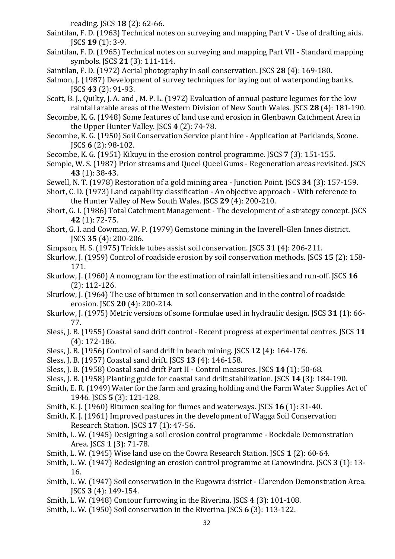reading. JSCS **18** (2): 62-66.

- Saintilan, F. D. (1963) Technical notes on surveying and mapping Part V Use of drafting aids. JSCS **19** (1): 3-9.
- Saintilan, F. D. (1965) Technical notes on surveying and mapping Part VII Standard mapping symbols. JSCS **21** (3): 111-114.
- Saintilan, F. D. (1972) Aerial photography in soil conservation. JSCS **28** (4): 169-180.
- Salmon, J. (1987) Development of survey techniques for laying out of waterponding banks. JSCS **43** (2): 91-93.
- Scott, B. J., Quilty, J. A. and , M. P. L. (1972) Evaluation of annual pasture legumes for the low rainfall arable areas of the Western Division of New South Wales. JSCS **28** (4): 181-190.
- Secombe, K. G. (1948) Some features of land use and erosion in Glenbawn Catchment Area in the Upper Hunter Valley. JSCS **4** (2): 74-78.
- Secombe, K. G. (1950) Soil Conservation Service plant hire Application at Parklands, Scone. JSCS **6** (2): 98-102.
- Secombe, K. G. (1951) Kikuyu in the erosion control programme. JSCS **7** (3): 151-155.
- Semple, W. S. (1987) Prior streams and Queel Queel Gums Regeneration areas revisited. JSCS **43** (1): 38-43.
- Sewell, N. T. (1978) Restoration of a gold mining area Junction Point. JSCS **34** (3): 157-159.
- Short, C. D. (1973) Land capability classification An objective approach With reference to the Hunter Valley of New South Wales. JSCS **29** (4): 200-210.
- Short, G. I. (1986) Total Catchment Management The development of a strategy concept. JSCS **42** (1): 72-75.
- Short, G. I. and Cowman, W. P. (1979) Gemstone mining in the Inverell-Glen Innes district. JSCS **35** (4): 200-206.
- Simpson, H. S. (1975) Trickle tubes assist soil conservation. JSCS **31** (4): 206-211.
- Skurlow, J. (1959) Control of roadside erosion by soil conservation methods. JSCS **15** (2): 158- 171.
- Skurlow, J. (1960) A nomogram for the estimation of rainfall intensities and run-off. JSCS **16**  (2): 112-126.
- Skurlow, J. (1964) The use of bitumen in soil conservation and in the control of roadside erosion. JSCS **20** (4): 200-214.
- Skurlow, J. (1975) Metric versions of some formulae used in hydraulic design. JSCS **31** (1): 66- 77.
- Sless, J. B. (1955) Coastal sand drift control Recent progress at experimental centres. JSCS **11**  (4): 172-186.
- Sless, J. B. (1956) Control of sand drift in beach mining. JSCS **12** (4): 164-176.
- Sless, J. B. (1957) Coastal sand drift. JSCS **13** (4): 146-158.
- Sless, J. B. (1958) Coastal sand drift Part II Control measures. JSCS **14** (1): 50-68.
- Sless, J. B. (1958) Planting guide for coastal sand drift stabilization. JSCS **14** (3): 184-190.
- Smith, E. R. (1949) Water for the farm and grazing holding and the Farm Water Supplies Act of 1946. JSCS **5** (3): 121-128.
- Smith, K. J. (1960) Bitumen sealing for flumes and waterways. JSCS **16** (1): 31-40.
- Smith, K. J. (1961) Improved pastures in the development of Wagga Soil Conservation Research Station. JSCS **17** (1): 47-56.
- Smith, L. W. (1945) Designing a soil erosion control programme Rockdale Demonstration Area. JSCS **1** (3): 71-78.
- Smith, L. W. (1945) Wise land use on the Cowra Research Station. JSCS **1** (2): 60-64.
- Smith, L. W. (1947) Redesigning an erosion control programme at Canowindra. JSCS **3** (1): 13- 16.
- Smith, L. W. (1947) Soil conservation in the Eugowra district Clarendon Demonstration Area. JSCS **3** (4): 149-154.
- Smith, L. W. (1948) Contour furrowing in the Riverina. JSCS **4** (3): 101-108.
- Smith, L. W. (1950) Soil conservation in the Riverina. JSCS **6** (3): 113-122.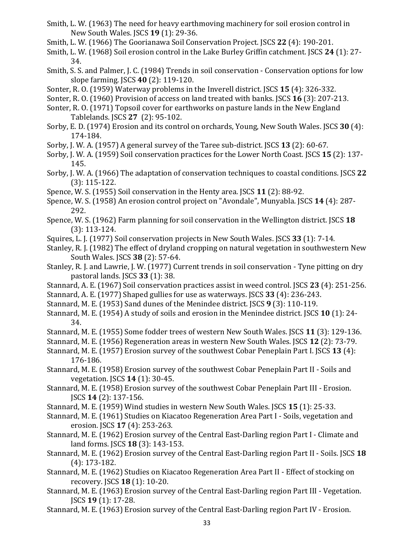- Smith, L. W. (1963) The need for heavy earthmoving machinery for soil erosion control in New South Wales. JSCS **19** (1): 29-36.
- Smith, L. W. (1966) The Goorianawa Soil Conservation Project. JSCS **22** (4): 190-201.
- Smith, L. W. (1968) Soil erosion control in the Lake Burley Griffin catchment. JSCS **24** (1): 27- 34.
- Smith, S. S. and Palmer, J. C. (1984) Trends in soil conservation Conservation options for low slope farming. JSCS **40** (2): 119-120.
- Sonter, R. O. (1959) Waterway problems in the Inverell district. JSCS **15** (4): 326-332.
- Sonter, R. O. (1960) Provision of access on land treated with banks. JSCS **16** (3): 207-213.
- Sonter, R. O. (1971) Topsoil cover for earthworks on pasture lands in the New England Tablelands. JSCS **27** (2): 95-102.
- Sorby, E. D. (1974) Erosion and its control on orchards, Young, New South Wales. JSCS **30** (4): 174-184.
- Sorby, J. W. A. (1957) A general survey of the Taree sub-district. JSCS **13** (2): 60-67.
- Sorby, J. W. A. (1959) Soil conservation practices for the Lower North Coast. JSCS **15** (2): 137- 145.
- Sorby, J. W. A. (1966) The adaptation of conservation techniques to coastal conditions. JSCS **22**  (3): 115-122.
- Spence, W. S. (1955) Soil conservation in the Henty area. JSCS **11** (2): 88-92.
- Spence, W. S. (1958) An erosion control project on "Avondale", Munyabla. JSCS **14** (4): 287- 292.
- Spence, W. S. (1962) Farm planning for soil conservation in the Wellington district. JSCS **18**  (3): 113-124.
- Squires, L. J. (1977) Soil conservation projects in New South Wales. JSCS **33** (1): 7-14.
- Stanley, R. J. (1982) The effect of dryland cropping on natural vegetation in southwestern New South Wales. JSCS **38** (2): 57-64.
- Stanley, R. J. and Lawrie, J. W. (1977) Current trends in soil conservation Tyne pitting on dry pastoral lands. JSCS **33** (1): 38.
- Stannard, A. E. (1967) Soil conservation practices assist in weed control. JSCS **23** (4): 251-256.
- Stannard, A. E. (1977) Shaped gullies for use as waterways. JSCS **33** (4): 236-243.
- Stannard, M. E. (1953) Sand dunes of the Menindee district. JSCS **9** (3): 110-119.
- Stannard, M. E. (1954) A study of soils and erosion in the Menindee district. JSCS **10** (1): 24- 34.
- Stannard, M. E. (1955) Some fodder trees of western New South Wales. JSCS **11** (3): 129-136.
- Stannard, M. E. (1956) Regeneration areas in western New South Wales. JSCS **12** (2): 73-79.
- Stannard, M. E. (1957) Erosion survey of the southwest Cobar Peneplain Part I. JSCS **13** (4): 176-186.
- Stannard, M. E. (1958) Erosion survey of the southwest Cobar Peneplain Part II Soils and vegetation. JSCS **14** (1): 30-45.
- Stannard, M. E. (1958) Erosion survey of the southwest Cobar Peneplain Part III Erosion. JSCS **14** (2): 137-156.
- Stannard, M. E. (1959) Wind studies in western New South Wales. JSCS **15** (1): 25-33.
- Stannard, M. E. (1961) Studies on Kiacatoo Regeneration Area Part I Soils, vegetation and erosion. JSCS **17** (4): 253-263.
- Stannard, M. E. (1962) Erosion survey of the Central East-Darling region Part I Climate and land forms. JSCS **18** (3): 143-153.
- Stannard, M. E. (1962) Erosion survey of the Central East-Darling region Part II Soils. JSCS **18**  (4): 173-182.
- Stannard, M. E. (1962) Studies on Kiacatoo Regeneration Area Part II Effect of stocking on recovery. JSCS **18** (1): 10-20.
- Stannard, M. E. (1963) Erosion survey of the Central East-Darling region Part III Vegetation. JSCS **19** (1): 17-28.
- Stannard, M. E. (1963) Erosion survey of the Central East-Darling region Part IV Erosion.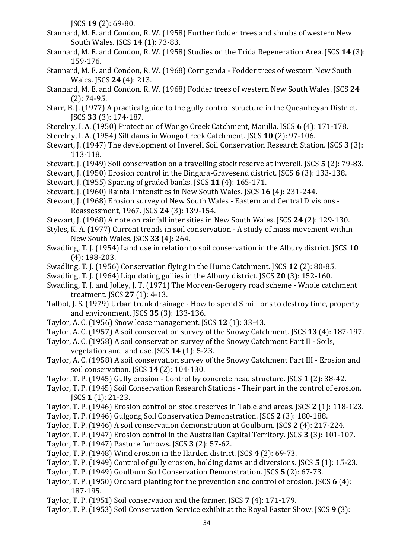JSCS **19** (2): 69-80.

- Stannard, M. E. and Condon, R. W. (1958) Further fodder trees and shrubs of western New South Wales. JSCS **14** (1): 73-83.
- Stannard, M. E. and Condon, R. W. (1958) Studies on the Trida Regeneration Area. JSCS **14** (3): 159-176.
- Stannard, M. E. and Condon, R. W. (1968) Corrigenda Fodder trees of western New South Wales. JSCS **24** (4): 213.
- Stannard, M. E. and Condon, R. W. (1968) Fodder trees of western New South Wales. JSCS **24**  (2): 74-95.
- Starr, B. J. (1977) A practical guide to the gully control structure in the Queanbeyan District. JSCS **33** (3): 174-187.
- Sterelny, I. A. (1950) Protection of Wongo Creek Catchment, Manilla. JSCS **6** (4): 171-178.
- Sterelny, I. A. (1954) Silt dams in Wongo Creek Catchment. JSCS **10** (2): 97-106.
- Stewart, J. (1947) The development of Inverell Soil Conservation Research Station. JSCS **3** (3): 113-118.
- Stewart, J. (1949) Soil conservation on a travelling stock reserve at Inverell. JSCS **5** (2): 79-83.
- Stewart, J. (1950) Erosion control in the Bingara-Gravesend district. JSCS **6** (3): 133-138.
- Stewart, J. (1955) Spacing of graded banks. JSCS **11** (4): 165-171.
- Stewart, J. (1960) Rainfall intensities in New South Wales. JSCS **16** (4): 231-244.
- Stewart, J. (1968) Erosion survey of New South Wales Eastern and Central Divisions Reassessment, 1967. JSCS **24** (3): 139-154.
- Stewart, J. (1968) A note on rainfall intensities in New South Wales. JSCS **24** (2): 129-130.
- Styles, K. A. (1977) Current trends in soil conservation A study of mass movement within New South Wales. JSCS **33** (4): 264.
- Swadling, T. J. (1954) Land use in relation to soil conservation in the Albury district. JSCS **10**  (4): 198-203.
- Swadling, T. J. (1956) Conservation flying in the Hume Catchment. JSCS **12** (2): 80-85.
- Swadling, T. J. (1964) Liquidating gullies in the Albury district. JSCS **20** (3): 152-160.
- Swadling, T. J. and Jolley, J. T. (1971) The Morven-Gerogery road scheme Whole catchment treatment. JSCS **27** (1): 4-13.
- Talbot, J. S. (1979) Urban trunk drainage How to spend \$ millions to destroy time, property and environment. JSCS **35** (3): 133-136.
- Taylor, A. C. (1956) Snow lease management. JSCS **12** (1): 33-43.
- Taylor, A. C. (1957) A soil conservation survey of the Snowy Catchment. JSCS **13** (4): 187-197.
- Taylor, A. C. (1958) A soil conservation survey of the Snowy Catchment Part II Soils, vegetation and land use. JSCS **14** (1): 5-23.
- Taylor, A. C. (1958) A soil conservation survey of the Snowy Catchment Part III Erosion and soil conservation. JSCS **14** (2): 104-130.
- Taylor, T. P. (1945) Gully erosion Control by concrete head structure. JSCS **1** (2): 38-42.
- Taylor, T. P. (1945) Soil Conservation Research Stations Their part in the control of erosion. JSCS **1** (1): 21-23.
- Taylor, T. P. (1946) Erosion control on stock reserves in Tableland areas. JSCS **2** (1): 118-123.
- Taylor, T. P. (1946) Gulgong Soil Conservation Demonstration. JSCS **2** (3): 180-188.
- Taylor, T. P. (1946) A soil conservation demonstration at Goulburn. JSCS **2** (4): 217-224.
- Taylor, T. P. (1947) Erosion control in the Australian Capital Territory. JSCS **3** (3): 101-107.
- Taylor, T. P. (1947) Pasture furrows. JSCS **3** (2): 57-62.
- Taylor, T. P. (1948) Wind erosion in the Harden district. JSCS **4** (2): 69-73.
- Taylor, T. P. (1949) Control of gully erosion, holding dams and diversions. JSCS **5** (1): 15-23.
- Taylor, T. P. (1949) Goulburn Soil Conservation Demonstration. JSCS **5** (2): 67-73.
- Taylor, T. P. (1950) Orchard planting for the prevention and control of erosion. JSCS **6** (4): 187-195.
- Taylor, T. P. (1951) Soil conservation and the farmer. JSCS **7** (4): 171-179.
- Taylor, T. P. (1953) Soil Conservation Service exhibit at the Royal Easter Show. JSCS **9** (3):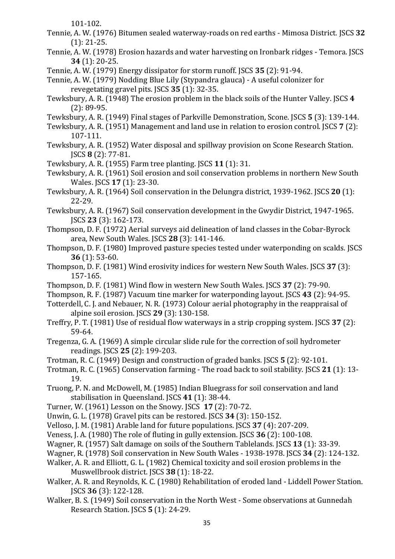101-102.

- Tennie, A. W. (1976) Bitumen sealed waterway-roads on red earths Mimosa District. JSCS **32**  (1): 21-25.
- Tennie, A. W. (1978) Erosion hazards and water harvesting on Ironbark ridges Temora. JSCS **34** (1): 20-25.
- Tennie, A. W. (1979) Energy dissipator for storm runoff. JSCS **35** (2): 91-94.
- Tennie, A. W. (1979) Nodding Blue Lily (Stypandra glauca) A useful colonizer for revegetating gravel pits. JSCS **35** (1): 32-35.
- Tewksbury, A. R. (1948) The erosion problem in the black soils of the Hunter Valley. JSCS **4**  (2): 89-95.
- Tewksbury, A. R. (1949) Final stages of Parkville Demonstration, Scone. JSCS **5** (3): 139-144.
- Tewksbury, A. R. (1951) Management and land use in relation to erosion control. JSCS **7** (2): 107-111.
- Tewksbury, A. R. (1952) Water disposal and spillway provision on Scone Research Station. JSCS **8** (2): 77-81.
- Tewksbury, A. R. (1955) Farm tree planting. JSCS **11** (1): 31.
- Tewksbury, A. R. (1961) Soil erosion and soil conservation problems in northern New South Wales. JSCS **17** (1): 23-30.
- Tewksbury, A. R. (1964) Soil conservation in the Delungra district, 1939-1962. JSCS **20** (1): 22-29.
- Tewksbury, A. R. (1967) Soil conservation development in the Gwydir District, 1947-1965. JSCS **23** (3): 162-173.
- Thompson, D. F. (1972) Aerial surveys aid delineation of land classes in the Cobar-Byrock area, New South Wales. JSCS **28** (3): 141-146.
- Thompson, D. F. (1980) Improved pasture species tested under waterponding on scalds. JSCS **36** (1): 53-60.
- Thompson, D. F. (1981) Wind erosivity indices for western New South Wales. JSCS **37** (3): 157-165.
- Thompson, D. F. (1981) Wind flow in western New South Wales. JSCS **37** (2): 79-90.
- Thompson, R. F. (1987) Vacuum tine marker for waterponding layout. JSCS **43** (2): 94-95.
- Totterdell, C. J. and Nebauer, N. R. (1973) Colour aerial photography in the reappraisal of alpine soil erosion. JSCS **29** (3): 130-158.
- Treffry, P. T. (1981) Use of residual flow waterways in a strip cropping system. JSCS **37** (2): 59-64.
- Tregenza, G. A. (1969) A simple circular slide rule for the correction of soil hydrometer readings. JSCS **25** (2): 199-203.
- Trotman, R. C. (1949) Design and construction of graded banks. JSCS **5** (2): 92-101.
- Trotman, R. C. (1965) Conservation farming The road back to soil stability. JSCS **21** (1): 13- 19.
- Truong, P. N. and McDowell, M. (1985) Indian Bluegrass for soil conservation and land stabilisation in Queensland. JSCS **41** (1): 38-44.
- Turner, W. (1961) Lesson on the Snowy. JSCS **17** (2): 70-72.
- Unwin, G. L. (1978) Gravel pits can be restored. JSCS **34** (3): 150-152.
- Velloso, J. M. (1981) Arable land for future populations. JSCS **37** (4): 207-209.
- Veness, J. A. (1980) The role of fluting in gully extension. JSCS **36** (2): 100-108.
- Wagner, R. (1957) Salt damage on soils of the Southern Tablelands. JSCS **13** (1): 33-39.
- Wagner, R. (1978) Soil conservation in New South Wales 1938-1978. JSCS **34** (2): 124-132.
- Walker, A. R. and Elliott, G. L. (1982) Chemical toxicity and soil erosion problems in the Muswellbrook district. JSCS **38** (1): 18-22.
- Walker, A. R. and Reynolds, K. C. (1980) Rehabilitation of eroded land Liddell Power Station. JSCS **36** (3): 122-128.
- Walker, B. S. (1949) Soil conservation in the North West Some observations at Gunnedah Research Station. JSCS **5** (1): 24-29.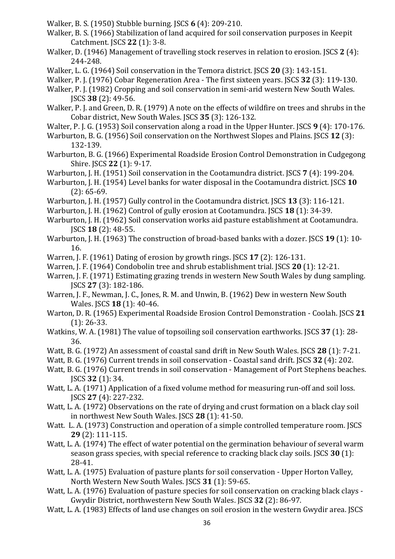- Walker, B. S. (1950) Stubble burning. JSCS **6** (4): 209-210.
- Walker, B. S. (1966) Stabilization of land acquired for soil conservation purposes in Keepit Catchment. JSCS **22** (1): 3-8.
- Walker, D. (1946) Management of travelling stock reserves in relation to erosion. JSCS **2** (4): 244-248.
- Walker, L. G. (1964) Soil conservation in the Temora district. JSCS **20** (3): 143-151.
- Walker, P. J. (1976) Cobar Regeneration Area The first sixteen years. JSCS **32** (3): 119-130.
- Walker, P. J. (1982) Cropping and soil conservation in semi-arid western New South Wales. JSCS **38** (2): 49-56.
- Walker, P. J. and Green, D. R. (1979) A note on the effects of wildfire on trees and shrubs in the Cobar district, New South Wales. JSCS **35** (3): 126-132.
- Walter, P. J. G. (1953) Soil conservation along a road in the Upper Hunter. JSCS **9** (4): 170-176.
- Warburton, B. G. (1956) Soil conservation on the Northwest Slopes and Plains. JSCS **12** (3): 132-139.
- Warburton, B. G. (1966) Experimental Roadside Erosion Control Demonstration in Cudgegong Shire. JSCS **22** (1): 9-17.
- Warburton, J. H. (1951) Soil conservation in the Cootamundra district. JSCS **7** (4): 199-204.
- Warburton, J. H. (1954) Level banks for water disposal in the Cootamundra district. JSCS **10**  (2): 65-69.
- Warburton, J. H. (1957) Gully control in the Cootamundra district. JSCS **13** (3): 116-121.
- Warburton, J. H. (1962) Control of gully erosion at Cootamundra. JSCS **18** (1): 34-39.
- Warburton, J. H. (1962) Soil conservation works aid pasture establishment at Cootamundra. JSCS **18** (2): 48-55.
- Warburton, J. H. (1963) The construction of broad-based banks with a dozer. JSCS **19** (1): 10- 16.
- Warren, J. F. (1961) Dating of erosion by growth rings. JSCS **17** (2): 126-131.
- Warren, J. F. (1964) Condobolin tree and shrub establishment trial. JSCS **20** (1): 12-21.
- Warren, J. F. (1971) Estimating grazing trends in western New South Wales by dung sampling. JSCS **27** (3): 182-186.
- Warren, J. F., Newman, J. C., Jones, R. M. and Unwin, B. (1962) Dew in western New South Wales. JSCS **18** (1): 40-46.
- Warton, D. R. (1965) Experimental Roadside Erosion Control Demonstration Coolah. JSCS **21**  (1): 26-33.
- Watkins, W. A. (1981) The value of topsoiling soil conservation earthworks. JSCS **37** (1): 28- 36.
- Watt, B. G. (1972) An assessment of coastal sand drift in New South Wales. JSCS **28** (1): 7-21.
- Watt, B. G. (1976) Current trends in soil conservation Coastal sand drift. JSCS **32** (4): 202.
- Watt, B. G. (1976) Current trends in soil conservation Management of Port Stephens beaches. JSCS **32** (1): 34.
- Watt, L. A. (1971) Application of a fixed volume method for measuring run-off and soil loss. JSCS **27** (4): 227-232.
- Watt, L. A. (1972) Observations on the rate of drying and crust formation on a black clay soil in northwest New South Wales. JSCS **28** (1): 41-50.
- Watt. L. A. (1973) Construction and operation of a simple controlled temperature room. JSCS **29** (2): 111-115.
- Watt, L. A. (1974) The effect of water potential on the germination behaviour of several warm season grass species, with special reference to cracking black clay soils. JSCS **30** (1): 28-41.
- Watt, L. A. (1975) Evaluation of pasture plants for soil conservation Upper Horton Valley, North Western New South Wales. JSCS **31** (1): 59-65.
- Watt, L. A. (1976) Evaluation of pasture species for soil conservation on cracking black clays Gwydir District, northwestern New South Wales. JSCS **32** (2): 86-97.
- Watt, L. A. (1983) Effects of land use changes on soil erosion in the western Gwydir area. JSCS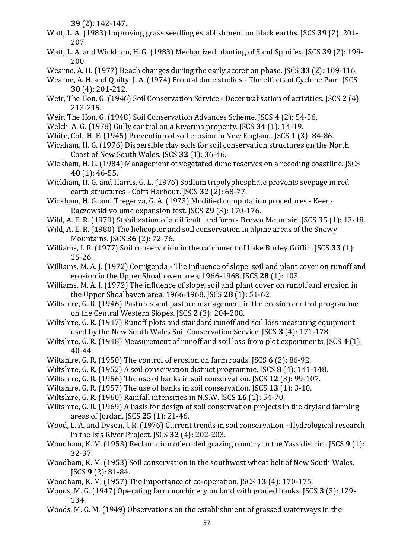**39** (2): 142-147.

- Watt, L. A. (1983) Improving grass seedling establishment on black earths. JSCS **39** (2): 201- 207.
- Watt, L. A. and Wickham, H. G. (1983) Mechanized planting of Sand Spinifex. JSCS **39** (2): 199- 200.
- Wearne, A. H. (1977) Beach changes during the early accretion phase. JSCS **33** (2): 109-116.
- Wearne, A. H. and Quilty, J. A. (1974) Frontal dune studies The effects of Cyclone Pam. JSCS **30** (4): 201-212.
- Weir, The Hon. G. (1946) Soil Conservation Service Decentralisation of activities. JSCS **2** (4): 213-215.
- Weir, The Hon. G. (1948) Soil Conservation Advances Scheme. JSCS **4** (2): 54-56.
- Welch, A. G. (1978) Gully control on a Riverina property. JSCS **34** (1): 14-19.
- White, Col. H. F. (1945) Prevention of soil erosion in New England. JSCS **1** (3): 84-86.
- Wickham, H. G. (1976) Dispersible clay soils for soil conservation structures on the North Coast of New South Wales. JSCS **32** (1): 36-46.
- Wickham, H. G. (1984) Management of vegetated dune reserves on a receding coastline. JSCS **40** (1): 46-55.
- Wickham, H. G. and Harris, G. L. (1976) Sodium tripolyphosphate prevents seepage in red earth structures - Coffs Harbour. JSCS **32** (2): 68-77.
- Wickham, H. G. and Tregenza, G. A. (1973) Modified computation procedures Keen-Raczowski volume expansion test. JSCS **29** (3): 170-176.
- Wild, A. E. R. (1979) Stabilization of a difficult landform Brown Mountain. JSCS **35** (1): 13-18.
- Wild, A. E. R. (1980) The helicopter and soil conservation in alpine areas of the Snowy Mountains. JSCS **36** (2): 72-76.
- Williams, I. R. (1977) Soil conservation in the catchment of Lake Burley Griffin. JSCS **33** (1): 15-26.
- Williams, M. A. J. (1972) Corrigenda The influence of slope, soil and plant cover on runoff and erosion in the Upper Shoalhaven area, 1966-1968. JSCS **28** (1): 103.
- Williams, M. A. J. (1972) The influence of slope, soil and plant cover on runoff and erosion in the Upper Shoalhaven area, 1966-1968. JSCS **28** (1): 51-62.
- Wiltshire, G. R. (1946) Pastures and pasture management in the erosion control programme on the Central Western Slopes. JSCS **2** (3): 204-208.
- Wiltshire, G. R. (1947) Runoff plots and standard runoff and soil loss measuring equipment used by the New South Wales Soil Conservation Service. JSCS **3** (4): 171-178.
- Wiltshire, G. R. (1948) Measurement of runoff and soil loss from plot experiments. JSCS **4** (1): 40-44.
- Wiltshire, G. R. (1950) The control of erosion on farm roads. JSCS **6** (2): 86-92.
- Wiltshire, G. R. (1952) A soil conservation district programme. JSCS **8** (4): 141-148.
- Wiltshire, G. R. (1956) The use of banks in soil conservation. JSCS **12** (3): 99-107.
- Wiltshire, G. R. (1957) The use of banks in soil conservation. JSCS **13** (1): 3-10.
- Wiltshire, G. R. (1960) Rainfall intensities in N.S.W. JSCS **16** (1): 54-70.
- Wiltshire, G. R. (1969) A basis for design of soil conservation projects in the dryland farming areas of Jordan. JSCS **25** (1): 21-46.
- Wood, L. A. and Dyson, J. R. (1976) Current trends in soil conservation Hydrological research in the Isis River Project. JSCS **32** (4): 202-203.
- Woodham, K. M. (1953) Reclamation of eroded grazing country in the Yass district. JSCS **9** (1): 32-37.
- Woodham, K. M. (1953) Soil conservation in the southwest wheat belt of New South Wales. JSCS **9** (2): 81-84.
- Woodham, K. M. (1957) The importance of co-operation. JSCS **13** (4): 170-175.
- Woods, M. G. (1947) Operating farm machinery on land with graded banks. JSCS **3** (3): 129- 134.
- Woods, M. G. M. (1949) Observations on the establishment of grassed waterways in the